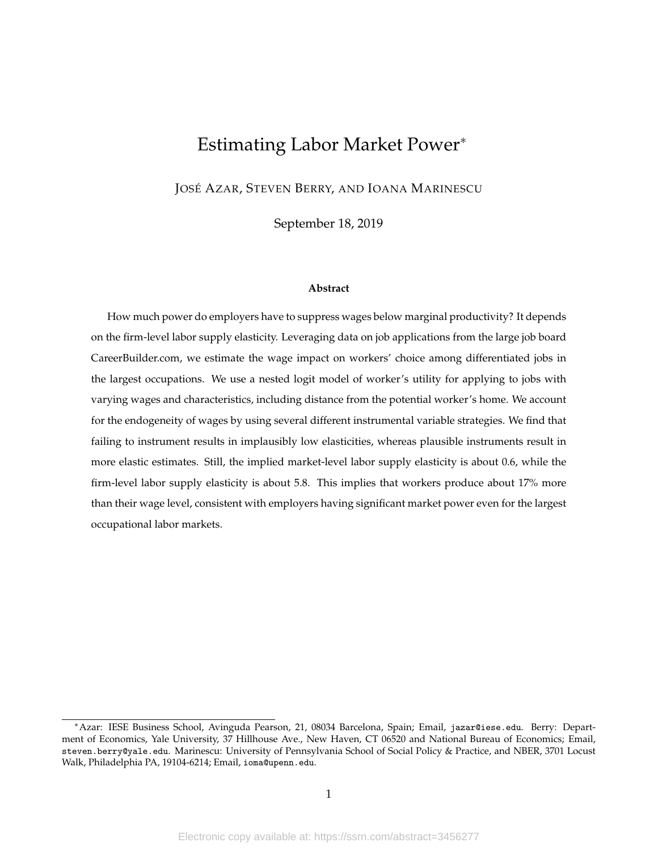# Estimating Labor Market Power<sup>∗</sup>

JOSÉ AZAR, STEVEN BERRY, AND IOANA MARINESCU

September 18, 2019

#### **Abstract**

How much power do employers have to suppress wages below marginal productivity? It depends on the firm-level labor supply elasticity. Leveraging data on job applications from the large job board CareerBuilder.com, we estimate the wage impact on workers' choice among differentiated jobs in the largest occupations. We use a nested logit model of worker's utility for applying to jobs with varying wages and characteristics, including distance from the potential worker's home. We account for the endogeneity of wages by using several different instrumental variable strategies. We find that failing to instrument results in implausibly low elasticities, whereas plausible instruments result in more elastic estimates. Still, the implied market-level labor supply elasticity is about 0.6, while the firm-level labor supply elasticity is about 5.8. This implies that workers produce about 17% more than their wage level, consistent with employers having significant market power even for the largest occupational labor markets.

<sup>∗</sup>Azar: IESE Business School, Avinguda Pearson, 21, 08034 Barcelona, Spain; Email, jazar@iese.edu. Berry: Department of Economics, Yale University, 37 Hillhouse Ave., New Haven, CT 06520 and National Bureau of Economics; Email, steven.berry@yale.edu. Marinescu: University of Pennsylvania School of Social Policy & Practice, and NBER, 3701 Locust Walk, Philadelphia PA, 19104-6214; Email, ioma@upenn.edu.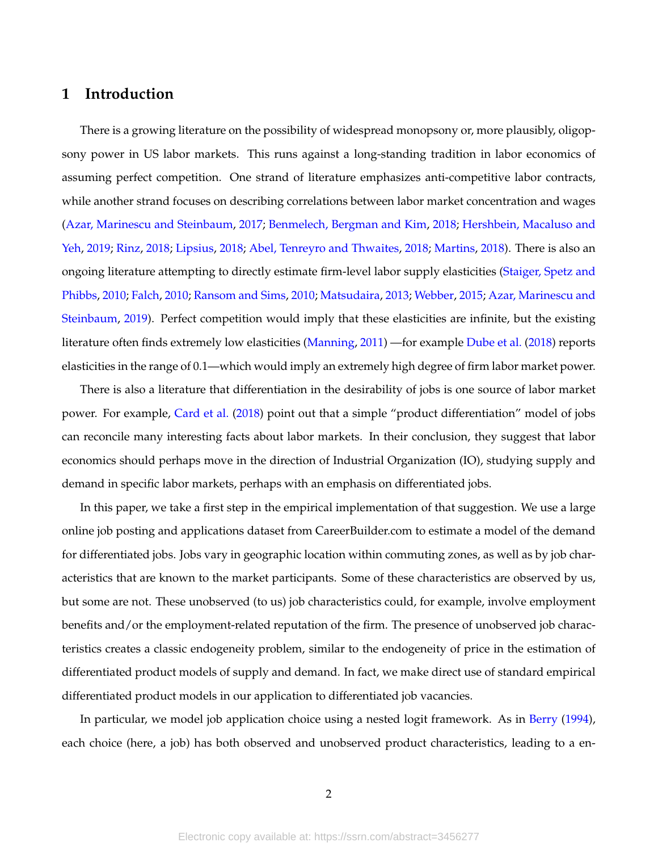# **1 Introduction**

There is a growing literature on the possibility of widespread monopsony or, more plausibly, oligopsony power in US labor markets. This runs against a long-standing tradition in labor economics of assuming perfect competition. One strand of literature emphasizes anti-competitive labor contracts, while another strand focuses on describing correlations between labor market concentration and wages (Azar, Marinescu and Steinbaum, 2017; Benmelech, Bergman and Kim, 2018; Hershbein, Macaluso and Yeh, 2019; Rinz, 2018; Lipsius, 2018; Abel, Tenreyro and Thwaites, 2018; Martins, 2018). There is also an ongoing literature attempting to directly estimate firm-level labor supply elasticities (Staiger, Spetz and Phibbs, 2010; Falch, 2010; Ransom and Sims, 2010; Matsudaira, 2013; Webber, 2015; Azar, Marinescu and Steinbaum, 2019). Perfect competition would imply that these elasticities are infinite, but the existing literature often finds extremely low elasticities (Manning, 2011) —for example Dube et al. (2018) reports elasticities in the range of 0.1—which would imply an extremely high degree of firm labor market power.

There is also a literature that differentiation in the desirability of jobs is one source of labor market power. For example, Card et al. (2018) point out that a simple "product differentiation" model of jobs can reconcile many interesting facts about labor markets. In their conclusion, they suggest that labor economics should perhaps move in the direction of Industrial Organization (IO), studying supply and demand in specific labor markets, perhaps with an emphasis on differentiated jobs.

In this paper, we take a first step in the empirical implementation of that suggestion. We use a large online job posting and applications dataset from CareerBuilder.com to estimate a model of the demand for differentiated jobs. Jobs vary in geographic location within commuting zones, as well as by job characteristics that are known to the market participants. Some of these characteristics are observed by us, but some are not. These unobserved (to us) job characteristics could, for example, involve employment benefits and/or the employment-related reputation of the firm. The presence of unobserved job characteristics creates a classic endogeneity problem, similar to the endogeneity of price in the estimation of differentiated product models of supply and demand. In fact, we make direct use of standard empirical differentiated product models in our application to differentiated job vacancies.

In particular, we model job application choice using a nested logit framework. As in Berry (1994), each choice (here, a job) has both observed and unobserved product characteristics, leading to a en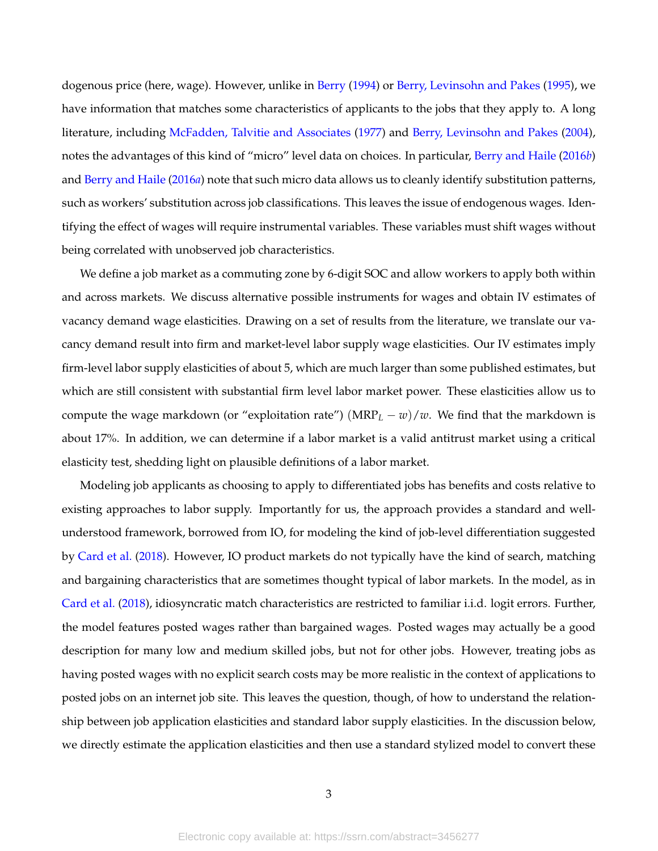dogenous price (here, wage). However, unlike in Berry (1994) or Berry, Levinsohn and Pakes (1995), we have information that matches some characteristics of applicants to the jobs that they apply to. A long literature, including McFadden, Talvitie and Associates (1977) and Berry, Levinsohn and Pakes (2004), notes the advantages of this kind of "micro" level data on choices. In particular, Berry and Haile (2016*b*) and Berry and Haile (2016*a*) note that such micro data allows us to cleanly identify substitution patterns, such as workers' substitution across job classifications. This leaves the issue of endogenous wages. Identifying the effect of wages will require instrumental variables. These variables must shift wages without being correlated with unobserved job characteristics.

We define a job market as a commuting zone by 6-digit SOC and allow workers to apply both within and across markets. We discuss alternative possible instruments for wages and obtain IV estimates of vacancy demand wage elasticities. Drawing on a set of results from the literature, we translate our vacancy demand result into firm and market-level labor supply wage elasticities. Our IV estimates imply firm-level labor supply elasticities of about 5, which are much larger than some published estimates, but which are still consistent with substantial firm level labor market power. These elasticities allow us to compute the wage markdown (or "exploitation rate") ( $MRP_L - w$ )/*w*. We find that the markdown is about 17%. In addition, we can determine if a labor market is a valid antitrust market using a critical elasticity test, shedding light on plausible definitions of a labor market.

Modeling job applicants as choosing to apply to differentiated jobs has benefits and costs relative to existing approaches to labor supply. Importantly for us, the approach provides a standard and wellunderstood framework, borrowed from IO, for modeling the kind of job-level differentiation suggested by Card et al. (2018). However, IO product markets do not typically have the kind of search, matching and bargaining characteristics that are sometimes thought typical of labor markets. In the model, as in Card et al. (2018), idiosyncratic match characteristics are restricted to familiar i.i.d. logit errors. Further, the model features posted wages rather than bargained wages. Posted wages may actually be a good description for many low and medium skilled jobs, but not for other jobs. However, treating jobs as having posted wages with no explicit search costs may be more realistic in the context of applications to posted jobs on an internet job site. This leaves the question, though, of how to understand the relationship between job application elasticities and standard labor supply elasticities. In the discussion below, we directly estimate the application elasticities and then use a standard stylized model to convert these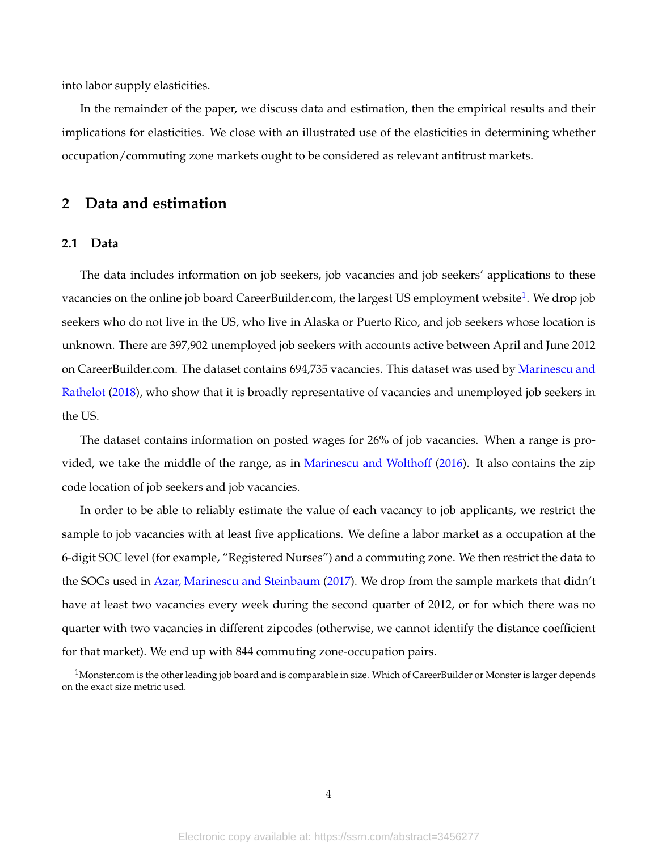into labor supply elasticities.

In the remainder of the paper, we discuss data and estimation, then the empirical results and their implications for elasticities. We close with an illustrated use of the elasticities in determining whether occupation/commuting zone markets ought to be considered as relevant antitrust markets.

# **2 Data and estimation**

## **2.1 Data**

The data includes information on job seekers, job vacancies and job seekers' applications to these vacancies on the online job board CareerBuilder.com, the largest US employment website $^1$ . We drop job seekers who do not live in the US, who live in Alaska or Puerto Rico, and job seekers whose location is unknown. There are 397,902 unemployed job seekers with accounts active between April and June 2012 on CareerBuilder.com. The dataset contains 694,735 vacancies. This dataset was used by Marinescu and Rathelot (2018), who show that it is broadly representative of vacancies and unemployed job seekers in the US.

The dataset contains information on posted wages for 26% of job vacancies. When a range is provided, we take the middle of the range, as in Marinescu and Wolthoff (2016). It also contains the zip code location of job seekers and job vacancies.

In order to be able to reliably estimate the value of each vacancy to job applicants, we restrict the sample to job vacancies with at least five applications. We define a labor market as a occupation at the 6-digit SOC level (for example, "Registered Nurses") and a commuting zone. We then restrict the data to the SOCs used in Azar, Marinescu and Steinbaum (2017). We drop from the sample markets that didn't have at least two vacancies every week during the second quarter of 2012, or for which there was no quarter with two vacancies in different zipcodes (otherwise, we cannot identify the distance coefficient for that market). We end up with 844 commuting zone-occupation pairs.

 $^1$ Monster.com is the other leading job board and is comparable in size. Which of CareerBuilder or Monster is larger depends on the exact size metric used.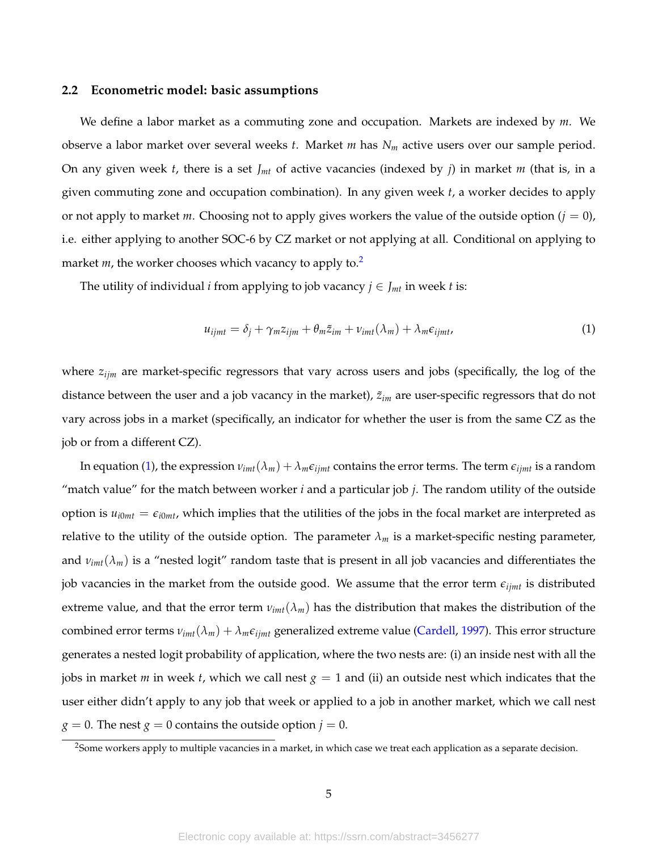#### **2.2 Econometric model: basic assumptions**

We define a labor market as a commuting zone and occupation. Markets are indexed by *m*. We observe a labor market over several weeks *t*. Market *m* has *N<sup>m</sup>* active users over our sample period. On any given week *t*, there is a set *Jmt* of active vacancies (indexed by *j*) in market *m* (that is, in a given commuting zone and occupation combination). In any given week *t*, a worker decides to apply or not apply to market *m*. Choosing not to apply gives workers the value of the outside option  $(j = 0)$ , i.e. either applying to another SOC-6 by CZ market or not applying at all. Conditional on applying to market *m*, the worker chooses which vacancy to apply to.<sup>2</sup>

The utility of individual *i* from applying to job vacancy  $j \in J_{mt}$  in week *t* is:

$$
u_{ijmt} = \delta_j + \gamma_m z_{ijm} + \theta_m \tilde{z}_{im} + \nu_{imt} (\lambda_m) + \lambda_m \epsilon_{ijmt}, \qquad (1)
$$

where *zijm* are market-specific regressors that vary across users and jobs (specifically, the log of the distance between the user and a job vacancy in the market),  $\tilde{z}_{im}$  are user-specific regressors that do not vary across jobs in a market (specifically, an indicator for whether the user is from the same CZ as the job or from a different CZ).

In equation (1), the expression  $v_{imt}(\lambda_m) + \lambda_m \epsilon_{ijmt}$  contains the error terms. The term  $\epsilon_{ijmt}$  is a random "match value" for the match between worker *i* and a particular job *j*. The random utility of the outside option is  $u_{i0mt} = \epsilon_{i0mt}$ , which implies that the utilities of the jobs in the focal market are interpreted as relative to the utility of the outside option. The parameter  $\lambda_m$  is a market-specific nesting parameter, and  $v_{imt}(\lambda_m)$  is a "nested logit" random taste that is present in all job vacancies and differentiates the job vacancies in the market from the outside good. We assume that the error term *eijmt* is distributed extreme value, and that the error term  $v_{imt}(\lambda_m)$  has the distribution that makes the distribution of the combined error terms  $v_{imt}(\lambda_m) + \lambda_m \epsilon_{ijmt}$  generalized extreme value (Cardell, 1997). This error structure generates a nested logit probability of application, where the two nests are: (i) an inside nest with all the jobs in market *m* in week *t*, which we call nest *g* = 1 and (ii) an outside nest which indicates that the user either didn't apply to any job that week or applied to a job in another market, which we call nest  $g = 0$ . The nest  $g = 0$  contains the outside option  $j = 0$ .

<sup>&</sup>lt;sup>2</sup>Some workers apply to multiple vacancies in a market, in which case we treat each application as a separate decision.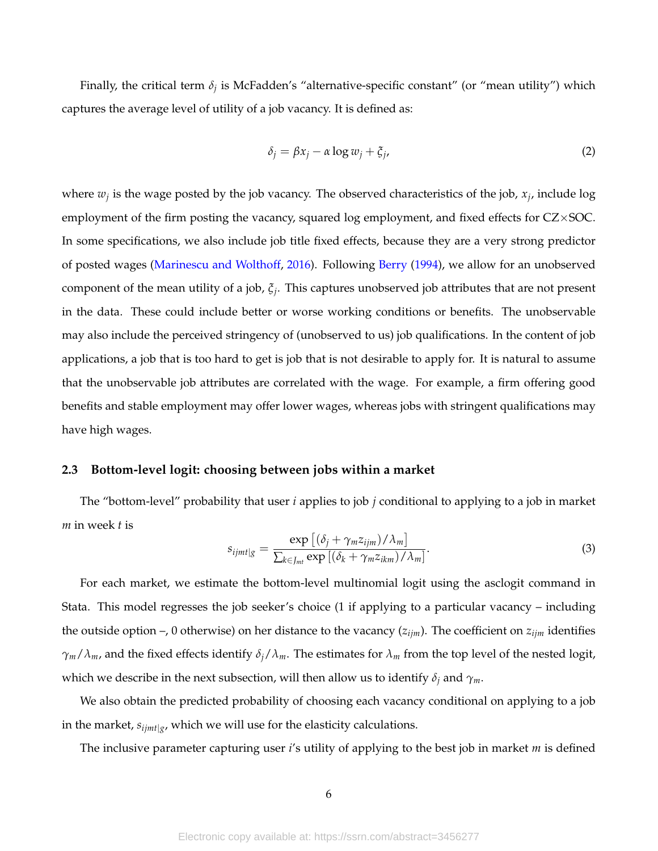Finally, the critical term *δ<sup>j</sup>* is McFadden's "alternative-specific constant" (or "mean utility") which captures the average level of utility of a job vacancy. It is defined as:

$$
\delta_j = \beta x_j - \alpha \log w_j + \xi_j,\tag{2}
$$

where *w<sup>j</sup>* is the wage posted by the job vacancy. The observed characteristics of the job, *x<sup>j</sup>* , include log employment of the firm posting the vacancy, squared log employment, and fixed effects for CZ×SOC. In some specifications, we also include job title fixed effects, because they are a very strong predictor of posted wages (Marinescu and Wolthoff, 2016). Following Berry (1994), we allow for an unobserved component of the mean utility of a job, *ξ<sup>j</sup>* . This captures unobserved job attributes that are not present in the data. These could include better or worse working conditions or benefits. The unobservable may also include the perceived stringency of (unobserved to us) job qualifications. In the content of job applications, a job that is too hard to get is job that is not desirable to apply for. It is natural to assume that the unobservable job attributes are correlated with the wage. For example, a firm offering good benefits and stable employment may offer lower wages, whereas jobs with stringent qualifications may have high wages.

## **2.3 Bottom-level logit: choosing between jobs within a market**

The "bottom-level" probability that user *i* applies to job *j* conditional to applying to a job in market *m* in week *t* is

$$
s_{ijmt|g} = \frac{\exp\left[\left(\delta_j + \gamma_m z_{ijm}\right)/\lambda_m\right]}{\sum_{k \in J_{mt}} \exp\left[\left(\delta_k + \gamma_m z_{ikm}\right)/\lambda_m\right]}.
$$
\n(3)

For each market, we estimate the bottom-level multinomial logit using the asclogit command in Stata. This model regresses the job seeker's choice (1 if applying to a particular vacancy – including the outside option –, 0 otherwise) on her distance to the vacancy  $(z_{ijm})$ . The coefficient on  $z_{ijm}$  identifies *γm*/*λm*, and the fixed effects identify *δj*/*λm*. The estimates for *λ<sup>m</sup>* from the top level of the nested logit, which we describe in the next subsection, will then allow us to identify  $\delta_j$  and  $\gamma_m$ .

We also obtain the predicted probability of choosing each vacancy conditional on applying to a job in the market, *sijmt*|*<sup>g</sup>* , which we will use for the elasticity calculations.

The inclusive parameter capturing user *i*'s utility of applying to the best job in market *m* is defined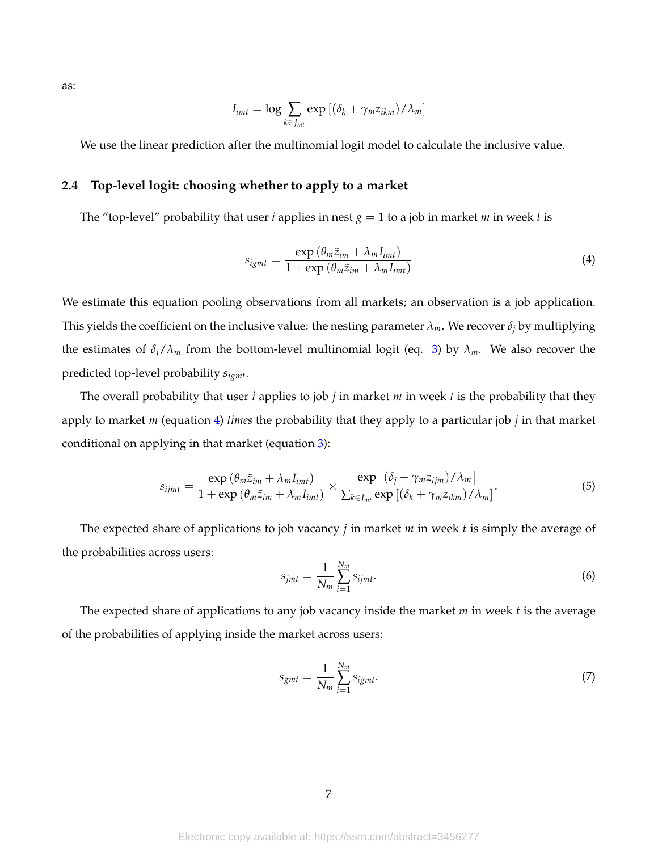as:

$$
I_{imt} = \log \sum_{k \in J_{mt}} \exp \left[ (\delta_k + \gamma_m z_{ikm}) / \lambda_m \right]
$$

We use the linear prediction after the multinomial logit model to calculate the inclusive value.

## **2.4 Top-level logit: choosing whether to apply to a market**

The "top-level" probability that user *i* applies in nest  $g = 1$  to a job in market *m* in week *t* is

$$
s_{igm} = \frac{\exp\left(\theta_m \tilde{z}_{im} + \lambda_m I_{imt}\right)}{1 + \exp\left(\theta_m \tilde{z}_{im} + \lambda_m I_{imt}\right)}
$$
(4)

We estimate this equation pooling observations from all markets; an observation is a job application. This yields the coefficient on the inclusive value: the nesting parameter  $\lambda_m$ . We recover  $\delta_i$  by multiplying the estimates of  $\delta_j/\lambda_m$  from the bottom-level multinomial logit (eq. 3) by  $\lambda_m$ . We also recover the predicted top-level probability *sigmt*.

The overall probability that user *i* applies to job *j* in market *m* in week *t* is the probability that they apply to market *m* (equation 4) *times* the probability that they apply to a particular job *j* in that market conditional on applying in that market (equation 3):

$$
s_{ijmt} = \frac{\exp\left(\theta_m \tilde{z}_{im} + \lambda_m I_{imt}\right)}{1 + \exp\left(\theta_m \tilde{z}_{im} + \lambda_m I_{imt}\right)} \times \frac{\exp\left[\left(\delta_j + \gamma_m z_{ijm}\right) / \lambda_m\right]}{\sum_{k \in J_{mt}} \exp\left[\left(\delta_k + \gamma_m z_{ikm}\right) / \lambda_m\right]}.
$$
(5)

The expected share of applications to job vacancy *j* in market *m* in week *t* is simply the average of the probabilities across users:

$$
s_{jmt} = \frac{1}{N_m} \sum_{i=1}^{N_m} s_{ijmt}.\tag{6}
$$

The expected share of applications to any job vacancy inside the market *m* in week *t* is the average of the probabilities of applying inside the market across users:

$$
s_{gmt} = \frac{1}{N_m} \sum_{i=1}^{N_m} s_{igmt}.
$$
\n<sup>(7)</sup>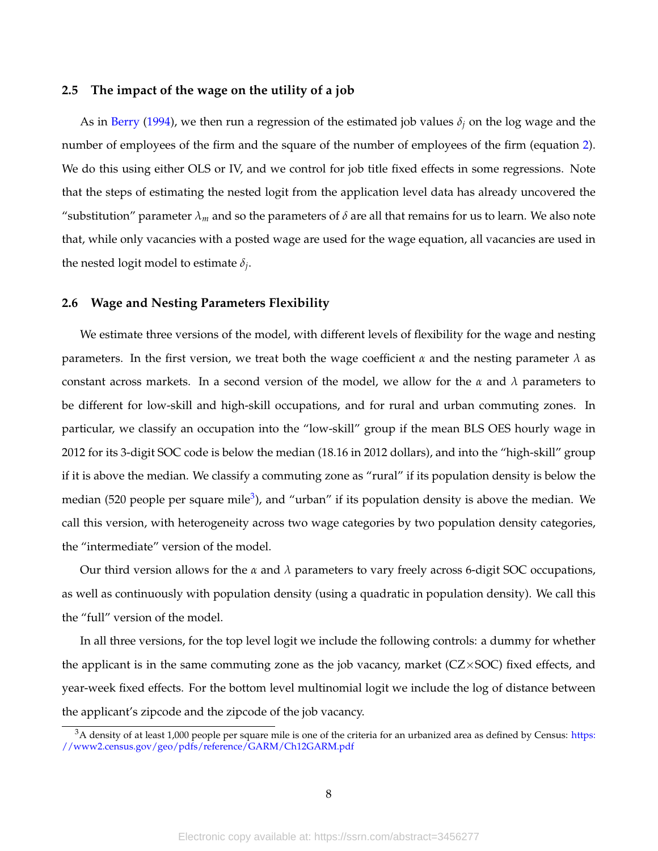#### **2.5 The impact of the wage on the utility of a job**

As in Berry (1994), we then run a regression of the estimated job values *δ<sup>j</sup>* on the log wage and the number of employees of the firm and the square of the number of employees of the firm (equation 2). We do this using either OLS or IV, and we control for job title fixed effects in some regressions. Note that the steps of estimating the nested logit from the application level data has already uncovered the "substitution" parameter  $\lambda_m$  and so the parameters of  $\delta$  are all that remains for us to learn. We also note that, while only vacancies with a posted wage are used for the wage equation, all vacancies are used in the nested logit model to estimate *δ<sup>j</sup>* .

#### **2.6 Wage and Nesting Parameters Flexibility**

We estimate three versions of the model, with different levels of flexibility for the wage and nesting parameters. In the first version, we treat both the wage coefficient  $\alpha$  and the nesting parameter  $\lambda$  as constant across markets. In a second version of the model, we allow for the *α* and *λ* parameters to be different for low-skill and high-skill occupations, and for rural and urban commuting zones. In particular, we classify an occupation into the "low-skill" group if the mean BLS OES hourly wage in 2012 for its 3-digit SOC code is below the median (18.16 in 2012 dollars), and into the "high-skill" group if it is above the median. We classify a commuting zone as "rural" if its population density is below the median (520 people per square mile<sup>3</sup>), and "urban" if its population density is above the median. We call this version, with heterogeneity across two wage categories by two population density categories, the "intermediate" version of the model.

Our third version allows for the  $\alpha$  and  $\lambda$  parameters to vary freely across 6-digit SOC occupations, as well as continuously with population density (using a quadratic in population density). We call this the "full" version of the model.

In all three versions, for the top level logit we include the following controls: a dummy for whether the applicant is in the same commuting zone as the job vacancy, market  $(CZ \times SOC)$  fixed effects, and year-week fixed effects. For the bottom level multinomial logit we include the log of distance between the applicant's zipcode and the zipcode of the job vacancy.

 $3A$  density of at least 1,000 people per square mile is one of the criteria for an urbanized area as defined by Census: https: //www2.census.gov/geo/pdfs/reference/GARM/Ch12GARM.pdf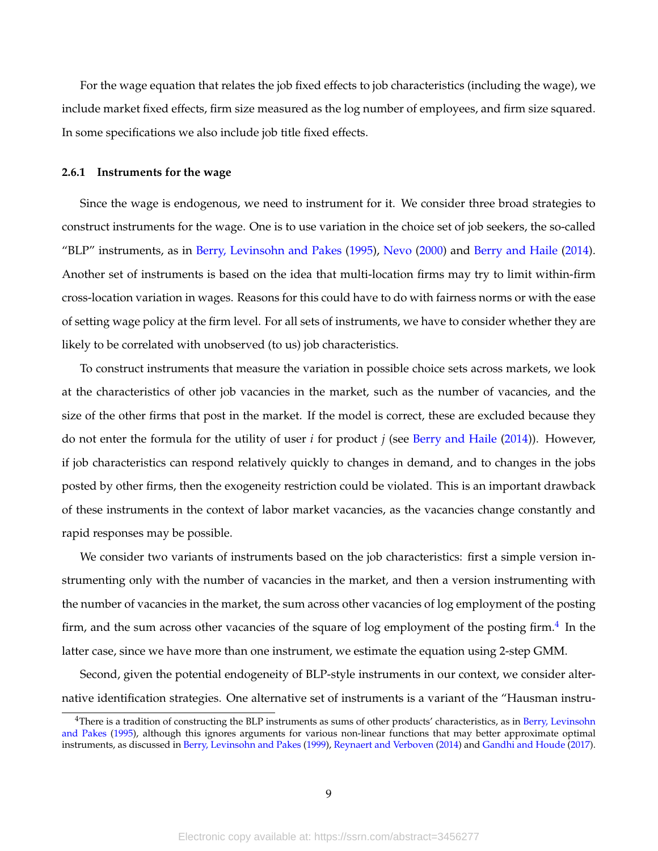For the wage equation that relates the job fixed effects to job characteristics (including the wage), we include market fixed effects, firm size measured as the log number of employees, and firm size squared. In some specifications we also include job title fixed effects.

#### **2.6.1 Instruments for the wage**

Since the wage is endogenous, we need to instrument for it. We consider three broad strategies to construct instruments for the wage. One is to use variation in the choice set of job seekers, the so-called "BLP" instruments, as in Berry, Levinsohn and Pakes (1995), Nevo (2000) and Berry and Haile (2014). Another set of instruments is based on the idea that multi-location firms may try to limit within-firm cross-location variation in wages. Reasons for this could have to do with fairness norms or with the ease of setting wage policy at the firm level. For all sets of instruments, we have to consider whether they are likely to be correlated with unobserved (to us) job characteristics.

To construct instruments that measure the variation in possible choice sets across markets, we look at the characteristics of other job vacancies in the market, such as the number of vacancies, and the size of the other firms that post in the market. If the model is correct, these are excluded because they do not enter the formula for the utility of user *i* for product *j* (see Berry and Haile (2014)). However, if job characteristics can respond relatively quickly to changes in demand, and to changes in the jobs posted by other firms, then the exogeneity restriction could be violated. This is an important drawback of these instruments in the context of labor market vacancies, as the vacancies change constantly and rapid responses may be possible.

We consider two variants of instruments based on the job characteristics: first a simple version instrumenting only with the number of vacancies in the market, and then a version instrumenting with the number of vacancies in the market, the sum across other vacancies of log employment of the posting firm, and the sum across other vacancies of the square of log employment of the posting firm. $^4$  In the latter case, since we have more than one instrument, we estimate the equation using 2-step GMM.

Second, given the potential endogeneity of BLP-style instruments in our context, we consider alternative identification strategies. One alternative set of instruments is a variant of the "Hausman instru-

<sup>&</sup>lt;sup>4</sup>There is a tradition of constructing the BLP instruments as sums of other products' characteristics, as in Berry, Levinsohn and Pakes (1995), although this ignores arguments for various non-linear functions that may better approximate optimal instruments, as discussed in Berry, Levinsohn and Pakes (1999), Reynaert and Verboven (2014) and Gandhi and Houde (2017).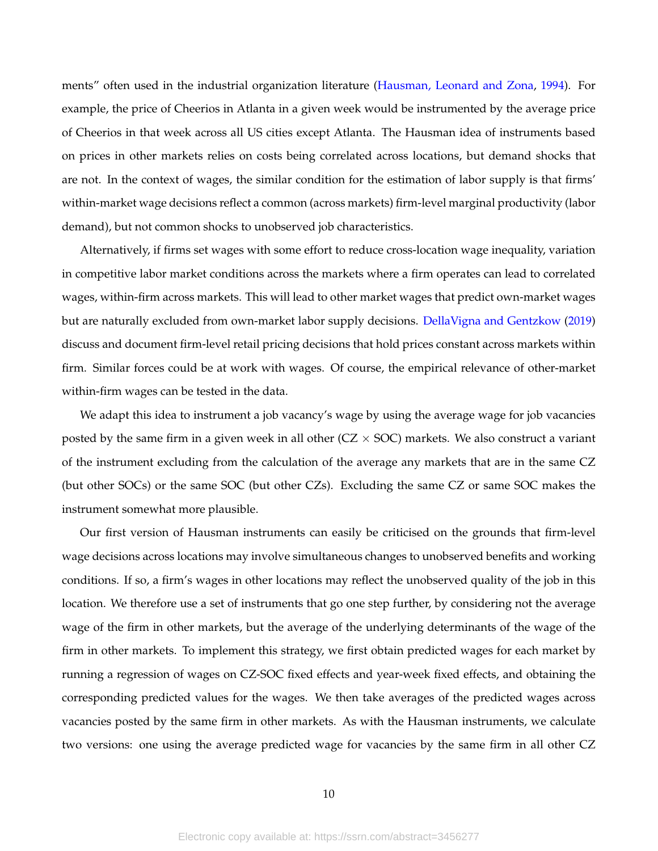ments" often used in the industrial organization literature (Hausman, Leonard and Zona, 1994). For example, the price of Cheerios in Atlanta in a given week would be instrumented by the average price of Cheerios in that week across all US cities except Atlanta. The Hausman idea of instruments based on prices in other markets relies on costs being correlated across locations, but demand shocks that are not. In the context of wages, the similar condition for the estimation of labor supply is that firms' within-market wage decisions reflect a common (across markets) firm-level marginal productivity (labor demand), but not common shocks to unobserved job characteristics.

Alternatively, if firms set wages with some effort to reduce cross-location wage inequality, variation in competitive labor market conditions across the markets where a firm operates can lead to correlated wages, within-firm across markets. This will lead to other market wages that predict own-market wages but are naturally excluded from own-market labor supply decisions. DellaVigna and Gentzkow (2019) discuss and document firm-level retail pricing decisions that hold prices constant across markets within firm. Similar forces could be at work with wages. Of course, the empirical relevance of other-market within-firm wages can be tested in the data.

We adapt this idea to instrument a job vacancy's wage by using the average wage for job vacancies posted by the same firm in a given week in all other ( $CZ \times SOC$ ) markets. We also construct a variant of the instrument excluding from the calculation of the average any markets that are in the same CZ (but other SOCs) or the same SOC (but other CZs). Excluding the same CZ or same SOC makes the instrument somewhat more plausible.

Our first version of Hausman instruments can easily be criticised on the grounds that firm-level wage decisions across locations may involve simultaneous changes to unobserved benefits and working conditions. If so, a firm's wages in other locations may reflect the unobserved quality of the job in this location. We therefore use a set of instruments that go one step further, by considering not the average wage of the firm in other markets, but the average of the underlying determinants of the wage of the firm in other markets. To implement this strategy, we first obtain predicted wages for each market by running a regression of wages on CZ-SOC fixed effects and year-week fixed effects, and obtaining the corresponding predicted values for the wages. We then take averages of the predicted wages across vacancies posted by the same firm in other markets. As with the Hausman instruments, we calculate two versions: one using the average predicted wage for vacancies by the same firm in all other CZ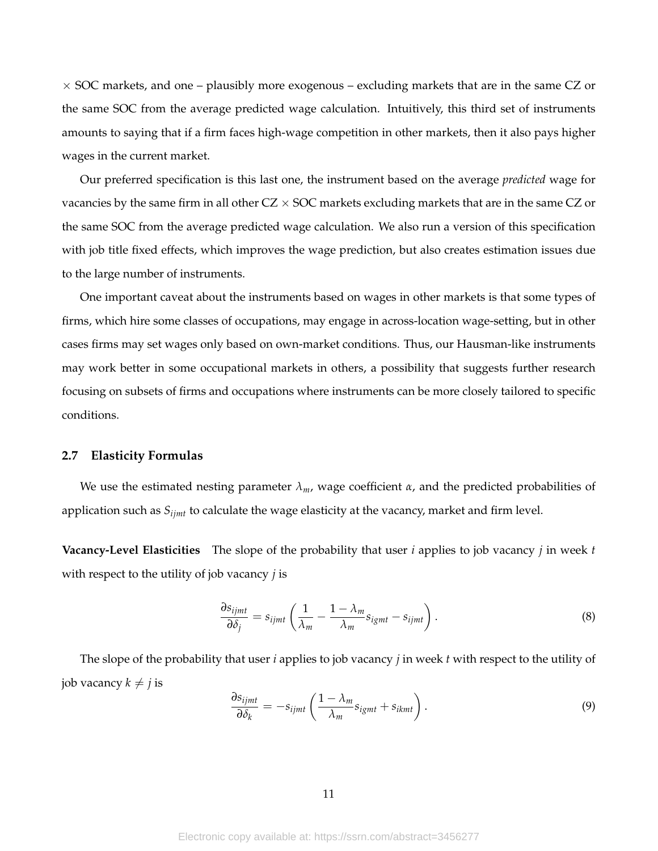$\times$  SOC markets, and one – plausibly more exogenous – excluding markets that are in the same CZ or the same SOC from the average predicted wage calculation. Intuitively, this third set of instruments amounts to saying that if a firm faces high-wage competition in other markets, then it also pays higher wages in the current market.

Our preferred specification is this last one, the instrument based on the average *predicted* wage for vacancies by the same firm in all other  $CZ \times SOC$  markets excluding markets that are in the same  $CZ$  or the same SOC from the average predicted wage calculation. We also run a version of this specification with job title fixed effects, which improves the wage prediction, but also creates estimation issues due to the large number of instruments.

One important caveat about the instruments based on wages in other markets is that some types of firms, which hire some classes of occupations, may engage in across-location wage-setting, but in other cases firms may set wages only based on own-market conditions. Thus, our Hausman-like instruments may work better in some occupational markets in others, a possibility that suggests further research focusing on subsets of firms and occupations where instruments can be more closely tailored to specific conditions.

#### **2.7 Elasticity Formulas**

We use the estimated nesting parameter  $\lambda_m$ , wage coefficient  $\alpha$ , and the predicted probabilities of application such as *Sijmt* to calculate the wage elasticity at the vacancy, market and firm level.

**Vacancy-Level Elasticities** The slope of the probability that user *i* applies to job vacancy *j* in week *t* with respect to the utility of job vacancy *j* is

$$
\frac{\partial s_{ijmt}}{\partial \delta_j} = s_{ijmt} \left( \frac{1}{\lambda_m} - \frac{1 - \lambda_m}{\lambda_m} s_{igmt} - s_{ijmt} \right). \tag{8}
$$

The slope of the probability that user *i* applies to job vacancy *j* in week *t* with respect to the utility of job vacancy  $k \neq j$  is

$$
\frac{\partial s_{ijmt}}{\partial \delta_k} = -s_{ijmt} \left( \frac{1 - \lambda_m}{\lambda_m} s_{igmt} + s_{ikmt} \right). \tag{9}
$$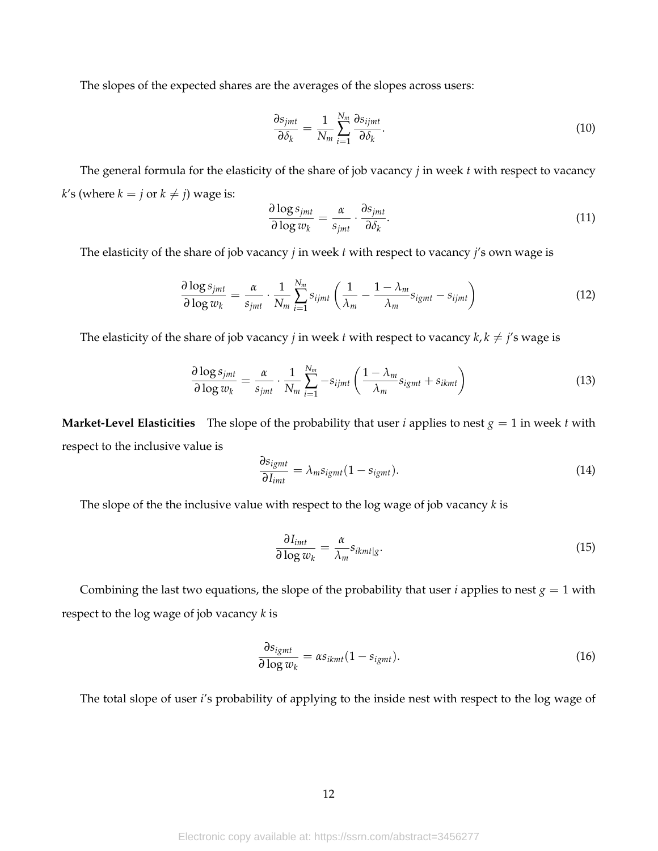The slopes of the expected shares are the averages of the slopes across users:

$$
\frac{\partial s_{jmt}}{\partial \delta_k} = \frac{1}{N_m} \sum_{i=1}^{N_m} \frac{\partial s_{ijmt}}{\partial \delta_k}.
$$
 (10)

The general formula for the elasticity of the share of job vacancy *j* in week *t* with respect to vacancy *k*'s (where  $k = j$  or  $k \neq j$ ) wage is:

$$
\frac{\partial \log s_{jmt}}{\partial \log w_k} = \frac{\alpha}{s_{jmt}} \cdot \frac{\partial s_{jmt}}{\partial \delta_k}.
$$
\n(11)

The elasticity of the share of job vacancy *j* in week *t* with respect to vacancy *j*'s own wage is

$$
\frac{\partial \log s_{jmt}}{\partial \log w_k} = \frac{\alpha}{s_{jmt}} \cdot \frac{1}{N_m} \sum_{i=1}^{N_m} s_{ijmt} \left( \frac{1}{\lambda_m} - \frac{1 - \lambda_m}{\lambda_m} s_{igmt} - s_{ijmt} \right)
$$
(12)

The elasticity of the share of job vacancy *j* in week *t* with respect to vacancy  $k, k \neq j$ 's wage is

$$
\frac{\partial \log s_{jmt}}{\partial \log w_k} = \frac{\alpha}{s_{jmt}} \cdot \frac{1}{N_m} \sum_{i=1}^{N_m} -s_{ijmt} \left( \frac{1 - \lambda_m}{\lambda_m} s_{igmt} + s_{ikmt} \right)
$$
(13)

**Market-Level Elasticities** The slope of the probability that user *i* applies to nest  $g = 1$  in week *t* with respect to the inclusive value is

$$
\frac{\partial s_{igmt}}{\partial I_{imt}} = \lambda_m s_{igmt} (1 - s_{igmt}). \tag{14}
$$

The slope of the the inclusive value with respect to the log wage of job vacancy *k* is

$$
\frac{\partial I_{imt}}{\partial \log w_k} = \frac{\alpha}{\lambda_m} s_{ikmt|g}.
$$
\n(15)

Combining the last two equations, the slope of the probability that user *i* applies to nest  $g = 1$  with respect to the log wage of job vacancy *k* is

$$
\frac{\partial s_{igmt}}{\partial \log w_k} = \alpha s_{ikmt} (1 - s_{igmt}). \tag{16}
$$

The total slope of user *i*'s probability of applying to the inside nest with respect to the log wage of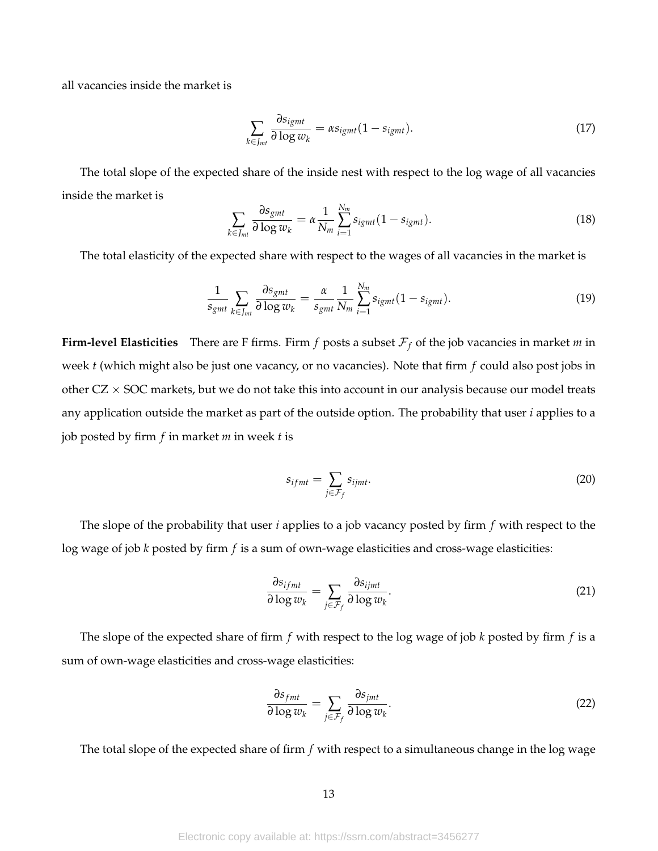all vacancies inside the market is

$$
\sum_{k \in J_{mt}} \frac{\partial s_{igmt}}{\partial \log w_k} = \alpha s_{igmt} (1 - s_{igmt}). \tag{17}
$$

The total slope of the expected share of the inside nest with respect to the log wage of all vacancies inside the market is

$$
\sum_{k \in J_{mt}} \frac{\partial s_{gmt}}{\partial \log w_k} = \alpha \frac{1}{N_m} \sum_{i=1}^{N_m} s_{igmt} (1 - s_{igmt}). \tag{18}
$$

The total elasticity of the expected share with respect to the wages of all vacancies in the market is

$$
\frac{1}{s_{gmt}}\sum_{k\in J_{mt}}\frac{\partial s_{gmt}}{\partial \log w_k}=\frac{\alpha}{s_{gmt}}\frac{1}{N_m}\sum_{i=1}^{N_m}s_{igmt}(1-s_{igmt}).\tag{19}
$$

**Firm-level Elasticities** There are F firms. Firm *f* posts a subset  $\mathcal{F}_f$  of the job vacancies in market *m* in week *t* (which might also be just one vacancy, or no vacancies). Note that firm *f* could also post jobs in other  $CZ \times SOC$  markets, but we do not take this into account in our analysis because our model treats any application outside the market as part of the outside option. The probability that user *i* applies to a job posted by firm *f* in market *m* in week *t* is

$$
s_{ifmt} = \sum_{j \in \mathcal{F}_f} s_{ijmt}.\tag{20}
$$

The slope of the probability that user *i* applies to a job vacancy posted by firm *f* with respect to the log wage of job *k* posted by firm *f* is a sum of own-wage elasticities and cross-wage elasticities:

$$
\frac{\partial s_{ifmt}}{\partial \log w_k} = \sum_{j \in \mathcal{F}_f} \frac{\partial s_{ijmt}}{\partial \log w_k}.
$$
\n(21)

The slope of the expected share of firm *f* with respect to the log wage of job *k* posted by firm *f* is a sum of own-wage elasticities and cross-wage elasticities:

$$
\frac{\partial s_{fmt}}{\partial \log w_k} = \sum_{j \in \mathcal{F}_f} \frac{\partial s_{jmt}}{\partial \log w_k}.
$$
 (22)

The total slope of the expected share of firm *f* with respect to a simultaneous change in the log wage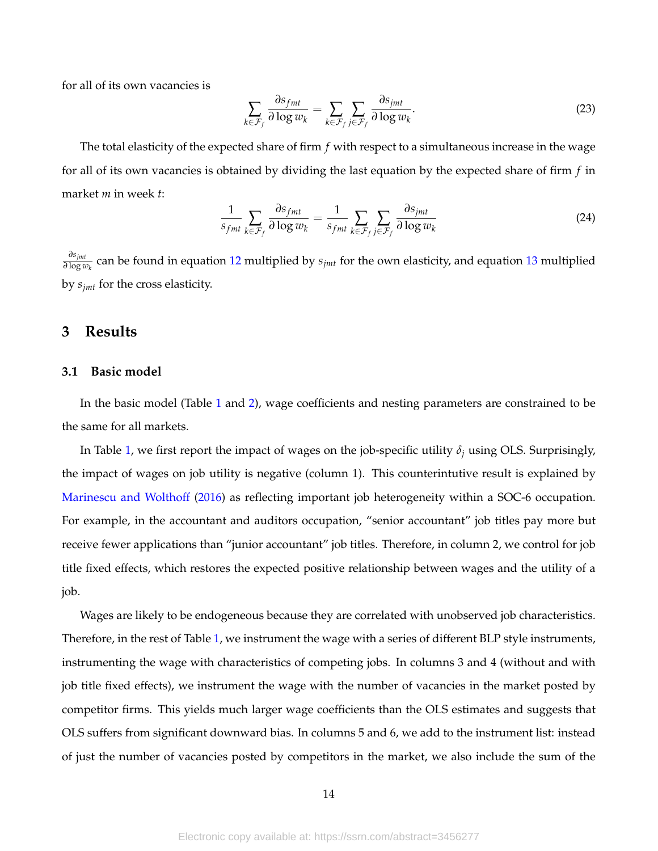for all of its own vacancies is

$$
\sum_{k \in \mathcal{F}_f} \frac{\partial s_{fmt}}{\partial \log w_k} = \sum_{k \in \mathcal{F}_f} \sum_{j \in \mathcal{F}_f} \frac{\partial s_{jmt}}{\partial \log w_k}.
$$
\n(23)

The total elasticity of the expected share of firm *f* with respect to a simultaneous increase in the wage for all of its own vacancies is obtained by dividing the last equation by the expected share of firm *f* in market *m* in week *t*:

$$
\frac{1}{s_{fmt}}\sum_{k\in\mathcal{F}_f}\frac{\partial s_{fmt}}{\partial \log w_k} = \frac{1}{s_{fmt}}\sum_{k\in\mathcal{F}_f}\sum_{j\in\mathcal{F}_f}\frac{\partial s_{jmt}}{\partial \log w_k}
$$
(24)

*∂sjmt*  $\frac{o_{symt}}{\partial \log w_k}$  can be found in equation 12 multiplied by  $s_{jmt}$  for the own elasticity, and equation 13 multiplied by *sjmt* for the cross elasticity.

# **3 Results**

## **3.1 Basic model**

In the basic model (Table 1 and 2), wage coefficients and nesting parameters are constrained to be the same for all markets.

In Table 1, we first report the impact of wages on the job-specific utility  $\delta_i$  using OLS. Surprisingly, the impact of wages on job utility is negative (column 1). This counterintutive result is explained by Marinescu and Wolthoff (2016) as reflecting important job heterogeneity within a SOC-6 occupation. For example, in the accountant and auditors occupation, "senior accountant" job titles pay more but receive fewer applications than "junior accountant" job titles. Therefore, in column 2, we control for job title fixed effects, which restores the expected positive relationship between wages and the utility of a job.

Wages are likely to be endogeneous because they are correlated with unobserved job characteristics. Therefore, in the rest of Table 1, we instrument the wage with a series of different BLP style instruments, instrumenting the wage with characteristics of competing jobs. In columns 3 and 4 (without and with job title fixed effects), we instrument the wage with the number of vacancies in the market posted by competitor firms. This yields much larger wage coefficients than the OLS estimates and suggests that OLS suffers from significant downward bias. In columns 5 and 6, we add to the instrument list: instead of just the number of vacancies posted by competitors in the market, we also include the sum of the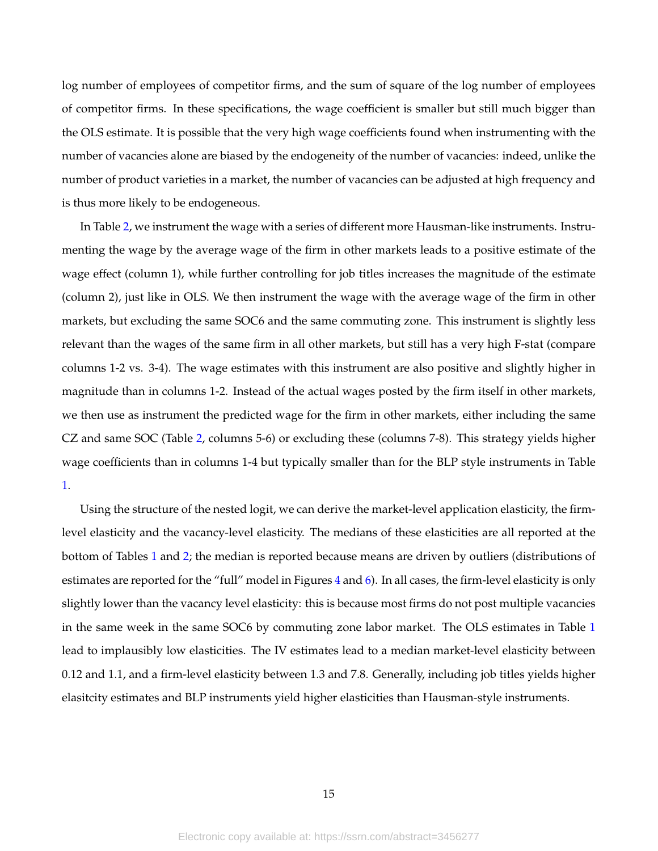log number of employees of competitor firms, and the sum of square of the log number of employees of competitor firms. In these specifications, the wage coefficient is smaller but still much bigger than the OLS estimate. It is possible that the very high wage coefficients found when instrumenting with the number of vacancies alone are biased by the endogeneity of the number of vacancies: indeed, unlike the number of product varieties in a market, the number of vacancies can be adjusted at high frequency and is thus more likely to be endogeneous.

In Table 2, we instrument the wage with a series of different more Hausman-like instruments. Instrumenting the wage by the average wage of the firm in other markets leads to a positive estimate of the wage effect (column 1), while further controlling for job titles increases the magnitude of the estimate (column 2), just like in OLS. We then instrument the wage with the average wage of the firm in other markets, but excluding the same SOC6 and the same commuting zone. This instrument is slightly less relevant than the wages of the same firm in all other markets, but still has a very high F-stat (compare columns 1-2 vs. 3-4). The wage estimates with this instrument are also positive and slightly higher in magnitude than in columns 1-2. Instead of the actual wages posted by the firm itself in other markets, we then use as instrument the predicted wage for the firm in other markets, either including the same CZ and same SOC (Table 2, columns 5-6) or excluding these (columns 7-8). This strategy yields higher wage coefficients than in columns 1-4 but typically smaller than for the BLP style instruments in Table 1.

Using the structure of the nested logit, we can derive the market-level application elasticity, the firmlevel elasticity and the vacancy-level elasticity. The medians of these elasticities are all reported at the bottom of Tables 1 and 2; the median is reported because means are driven by outliers (distributions of estimates are reported for the "full" model in Figures 4 and 6). In all cases, the firm-level elasticity is only slightly lower than the vacancy level elasticity: this is because most firms do not post multiple vacancies in the same week in the same SOC6 by commuting zone labor market. The OLS estimates in Table 1 lead to implausibly low elasticities. The IV estimates lead to a median market-level elasticity between 0.12 and 1.1, and a firm-level elasticity between 1.3 and 7.8. Generally, including job titles yields higher elasitcity estimates and BLP instruments yield higher elasticities than Hausman-style instruments.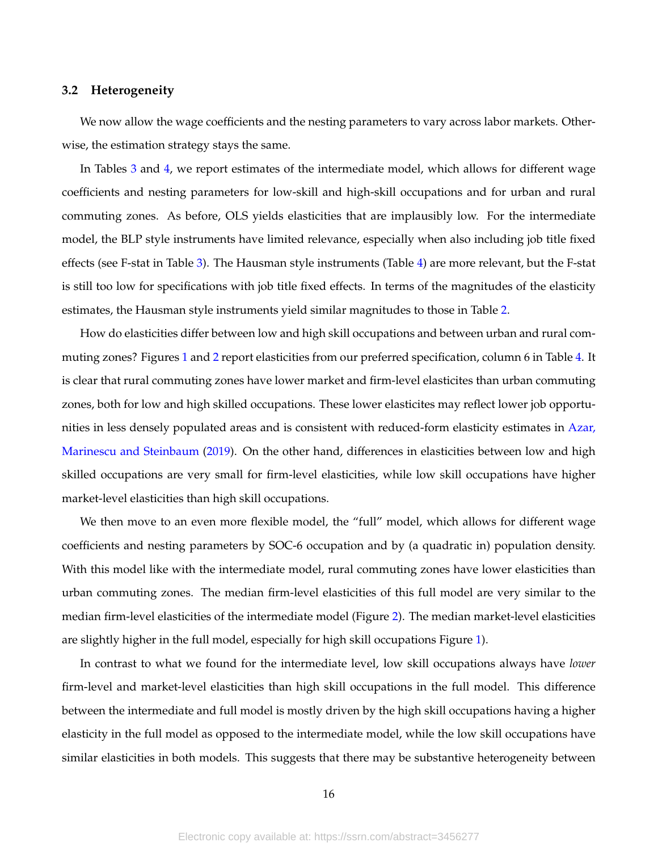#### **3.2 Heterogeneity**

We now allow the wage coefficients and the nesting parameters to vary across labor markets. Otherwise, the estimation strategy stays the same.

In Tables 3 and 4, we report estimates of the intermediate model, which allows for different wage coefficients and nesting parameters for low-skill and high-skill occupations and for urban and rural commuting zones. As before, OLS yields elasticities that are implausibly low. For the intermediate model, the BLP style instruments have limited relevance, especially when also including job title fixed effects (see F-stat in Table 3). The Hausman style instruments (Table 4) are more relevant, but the F-stat is still too low for specifications with job title fixed effects. In terms of the magnitudes of the elasticity estimates, the Hausman style instruments yield similar magnitudes to those in Table 2.

How do elasticities differ between low and high skill occupations and between urban and rural commuting zones? Figures 1 and 2 report elasticities from our preferred specification, column 6 in Table 4. It is clear that rural commuting zones have lower market and firm-level elasticites than urban commuting zones, both for low and high skilled occupations. These lower elasticites may reflect lower job opportunities in less densely populated areas and is consistent with reduced-form elasticity estimates in Azar, Marinescu and Steinbaum (2019). On the other hand, differences in elasticities between low and high skilled occupations are very small for firm-level elasticities, while low skill occupations have higher market-level elasticities than high skill occupations.

We then move to an even more flexible model, the "full" model, which allows for different wage coefficients and nesting parameters by SOC-6 occupation and by (a quadratic in) population density. With this model like with the intermediate model, rural commuting zones have lower elasticities than urban commuting zones. The median firm-level elasticities of this full model are very similar to the median firm-level elasticities of the intermediate model (Figure 2). The median market-level elasticities are slightly higher in the full model, especially for high skill occupations Figure 1).

In contrast to what we found for the intermediate level, low skill occupations always have *lower* firm-level and market-level elasticities than high skill occupations in the full model. This difference between the intermediate and full model is mostly driven by the high skill occupations having a higher elasticity in the full model as opposed to the intermediate model, while the low skill occupations have similar elasticities in both models. This suggests that there may be substantive heterogeneity between

16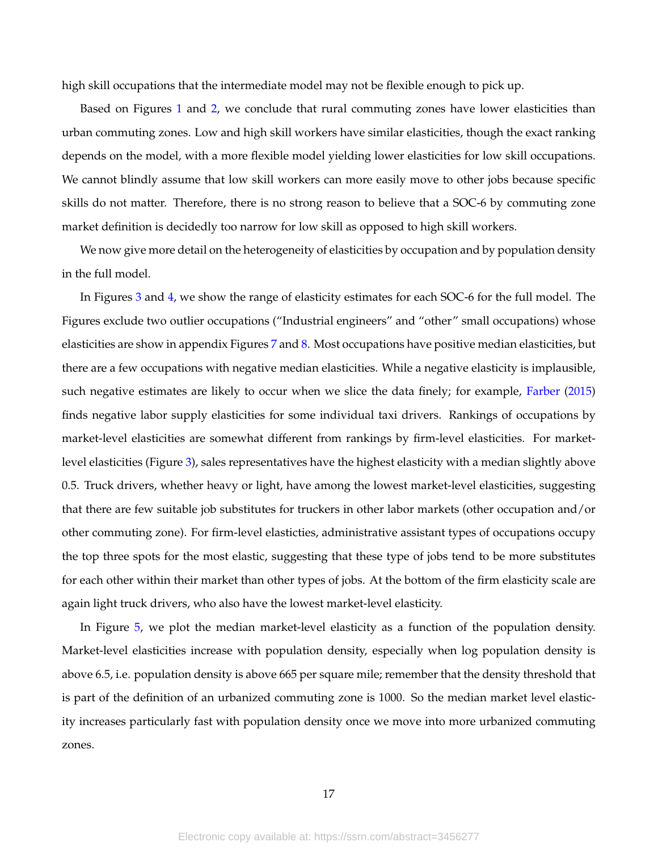high skill occupations that the intermediate model may not be flexible enough to pick up.

Based on Figures 1 and 2, we conclude that rural commuting zones have lower elasticities than urban commuting zones. Low and high skill workers have similar elasticities, though the exact ranking depends on the model, with a more flexible model yielding lower elasticities for low skill occupations. We cannot blindly assume that low skill workers can more easily move to other jobs because specific skills do not matter. Therefore, there is no strong reason to believe that a SOC-6 by commuting zone market definition is decidedly too narrow for low skill as opposed to high skill workers.

We now give more detail on the heterogeneity of elasticities by occupation and by population density in the full model.

In Figures 3 and 4, we show the range of elasticity estimates for each SOC-6 for the full model. The Figures exclude two outlier occupations ("Industrial engineers" and "other" small occupations) whose elasticities are show in appendix Figures 7 and 8. Most occupations have positive median elasticities, but there are a few occupations with negative median elasticities. While a negative elasticity is implausible, such negative estimates are likely to occur when we slice the data finely; for example, Farber (2015) finds negative labor supply elasticities for some individual taxi drivers. Rankings of occupations by market-level elasticities are somewhat different from rankings by firm-level elasticities. For marketlevel elasticities (Figure 3), sales representatives have the highest elasticity with a median slightly above 0.5. Truck drivers, whether heavy or light, have among the lowest market-level elasticities, suggesting that there are few suitable job substitutes for truckers in other labor markets (other occupation and/or other commuting zone). For firm-level elasticties, administrative assistant types of occupations occupy the top three spots for the most elastic, suggesting that these type of jobs tend to be more substitutes for each other within their market than other types of jobs. At the bottom of the firm elasticity scale are again light truck drivers, who also have the lowest market-level elasticity.

In Figure 5, we plot the median market-level elasticity as a function of the population density. Market-level elasticities increase with population density, especially when log population density is above 6.5, i.e. population density is above 665 per square mile; remember that the density threshold that is part of the definition of an urbanized commuting zone is 1000. So the median market level elasticity increases particularly fast with population density once we move into more urbanized commuting zones.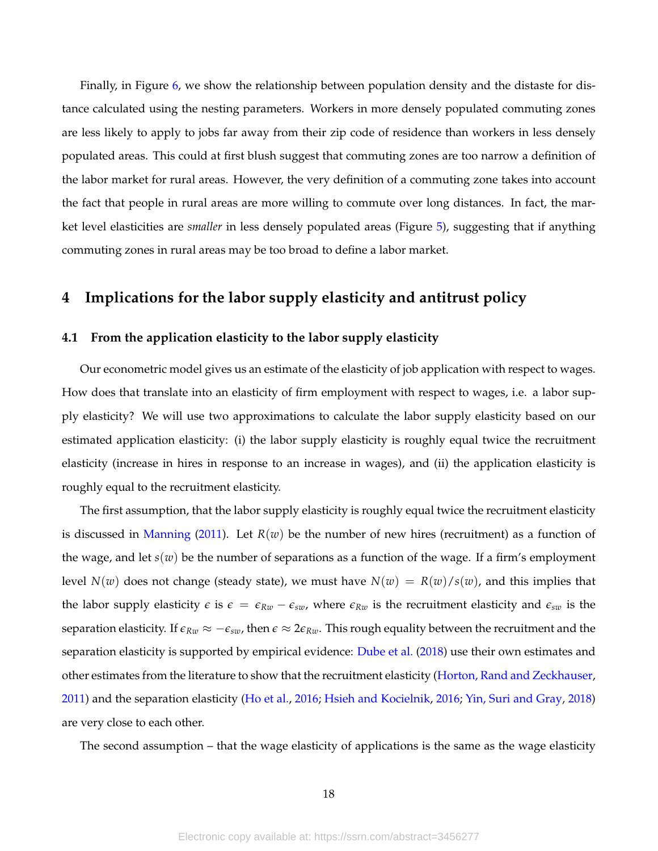Finally, in Figure 6, we show the relationship between population density and the distaste for distance calculated using the nesting parameters. Workers in more densely populated commuting zones are less likely to apply to jobs far away from their zip code of residence than workers in less densely populated areas. This could at first blush suggest that commuting zones are too narrow a definition of the labor market for rural areas. However, the very definition of a commuting zone takes into account the fact that people in rural areas are more willing to commute over long distances. In fact, the market level elasticities are *smaller* in less densely populated areas (Figure 5), suggesting that if anything commuting zones in rural areas may be too broad to define a labor market.

# **4 Implications for the labor supply elasticity and antitrust policy**

## **4.1 From the application elasticity to the labor supply elasticity**

Our econometric model gives us an estimate of the elasticity of job application with respect to wages. How does that translate into an elasticity of firm employment with respect to wages, i.e. a labor supply elasticity? We will use two approximations to calculate the labor supply elasticity based on our estimated application elasticity: (i) the labor supply elasticity is roughly equal twice the recruitment elasticity (increase in hires in response to an increase in wages), and (ii) the application elasticity is roughly equal to the recruitment elasticity.

The first assumption, that the labor supply elasticity is roughly equal twice the recruitment elasticity is discussed in Manning (2011). Let  $R(w)$  be the number of new hires (recruitment) as a function of the wage, and let *s*(*w*) be the number of separations as a function of the wage. If a firm's employment level  $N(w)$  does not change (steady state), we must have  $N(w) = R(w)/s(w)$ , and this implies that the labor supply elasticity  $\epsilon$  is  $\epsilon = \epsilon_{Rw} - \epsilon_{sw}$ , where  $\epsilon_{Rw}$  is the recruitment elasticity and  $\epsilon_{sw}$  is the separation elasticity. If  $\epsilon_{Rw} \approx -\epsilon_{sw}$ , then  $\epsilon \approx 2\epsilon_{Rw}$ . This rough equality between the recruitment and the separation elasticity is supported by empirical evidence: Dube et al. (2018) use their own estimates and other estimates from the literature to show that the recruitment elasticity (Horton, Rand and Zeckhauser, 2011) and the separation elasticity (Ho et al., 2016; Hsieh and Kocielnik, 2016; Yin, Suri and Gray, 2018) are very close to each other.

The second assumption – that the wage elasticity of applications is the same as the wage elasticity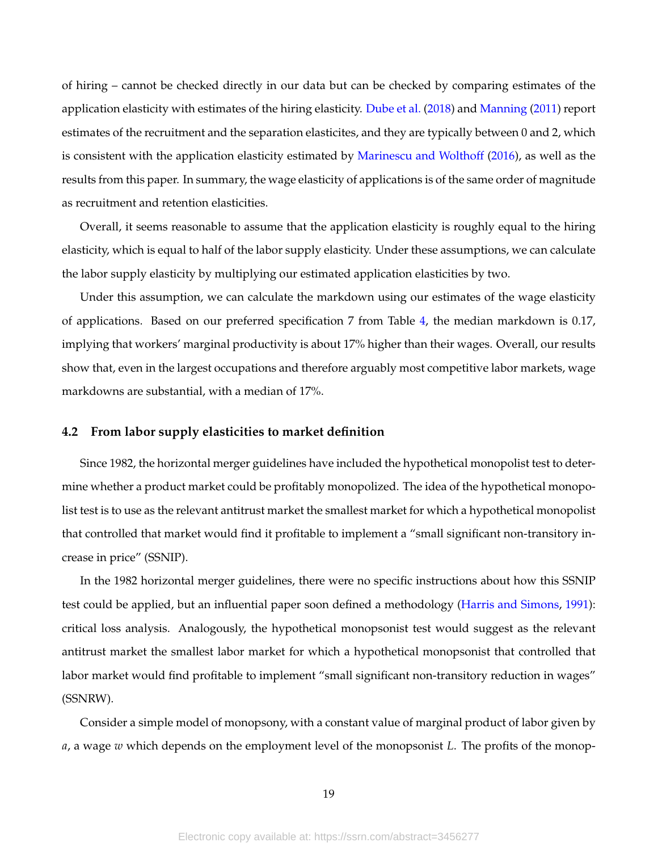of hiring – cannot be checked directly in our data but can be checked by comparing estimates of the application elasticity with estimates of the hiring elasticity. Dube et al. (2018) and Manning (2011) report estimates of the recruitment and the separation elasticites, and they are typically between 0 and 2, which is consistent with the application elasticity estimated by Marinescu and Wolthoff (2016), as well as the results from this paper. In summary, the wage elasticity of applications is of the same order of magnitude as recruitment and retention elasticities.

Overall, it seems reasonable to assume that the application elasticity is roughly equal to the hiring elasticity, which is equal to half of the labor supply elasticity. Under these assumptions, we can calculate the labor supply elasticity by multiplying our estimated application elasticities by two.

Under this assumption, we can calculate the markdown using our estimates of the wage elasticity of applications. Based on our preferred specification 7 from Table 4, the median markdown is 0.17, implying that workers' marginal productivity is about 17% higher than their wages. Overall, our results show that, even in the largest occupations and therefore arguably most competitive labor markets, wage markdowns are substantial, with a median of 17%.

## **4.2 From labor supply elasticities to market definition**

Since 1982, the horizontal merger guidelines have included the hypothetical monopolist test to determine whether a product market could be profitably monopolized. The idea of the hypothetical monopolist test is to use as the relevant antitrust market the smallest market for which a hypothetical monopolist that controlled that market would find it profitable to implement a "small significant non-transitory increase in price" (SSNIP).

In the 1982 horizontal merger guidelines, there were no specific instructions about how this SSNIP test could be applied, but an influential paper soon defined a methodology (Harris and Simons, 1991): critical loss analysis. Analogously, the hypothetical monopsonist test would suggest as the relevant antitrust market the smallest labor market for which a hypothetical monopsonist that controlled that labor market would find profitable to implement "small significant non-transitory reduction in wages" (SSNRW).

Consider a simple model of monopsony, with a constant value of marginal product of labor given by *a*, a wage *w* which depends on the employment level of the monopsonist *L*. The profits of the monop-

19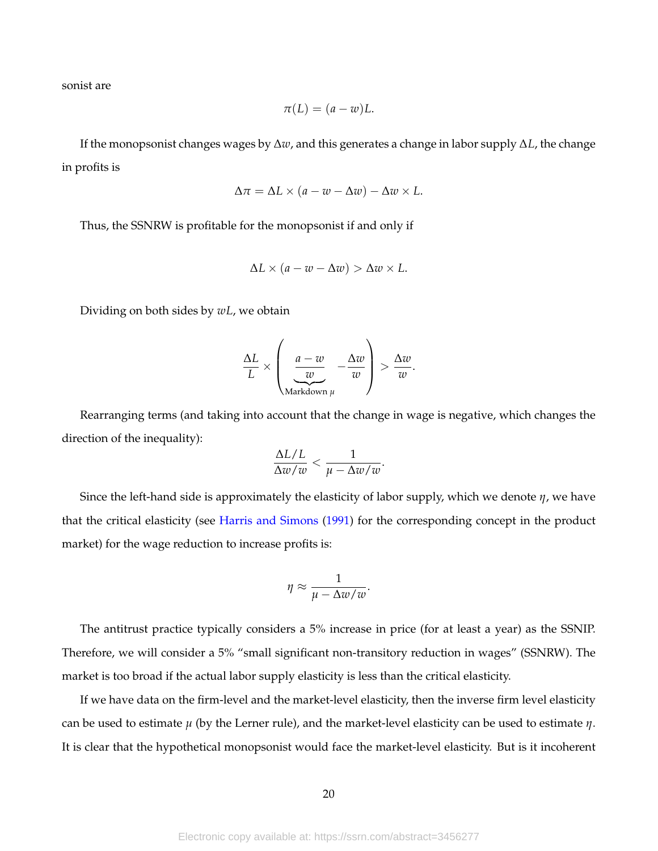sonist are

$$
\pi(L) = (a - w)L.
$$

If the monopsonist changes wages by ∆*w*, and this generates a change in labor supply ∆*L*, the change in profits is

$$
\Delta \pi = \Delta L \times (a - w - \Delta w) - \Delta w \times L.
$$

Thus, the SSNRW is profitable for the monopsonist if and only if

$$
\Delta L \times (a - w - \Delta w) > \Delta w \times L.
$$

Dividing on both sides by *wL*, we obtain

$$
\frac{\Delta L}{L} \times \left( \underbrace{\frac{a-w}{w}}_{\text{Markdown }\mu} - \frac{\Delta w}{w} \right) > \frac{\Delta w}{w}.
$$

Rearranging terms (and taking into account that the change in wage is negative, which changes the direction of the inequality):

$$
\frac{\Delta L/L}{\Delta w/w} < \frac{1}{\mu - \Delta w/w}.
$$

Since the left-hand side is approximately the elasticity of labor supply, which we denote *η*, we have that the critical elasticity (see Harris and Simons (1991) for the corresponding concept in the product market) for the wage reduction to increase profits is:

$$
\eta \approx \frac{1}{\mu - \Delta w/w}.
$$

The antitrust practice typically considers a 5% increase in price (for at least a year) as the SSNIP. Therefore, we will consider a 5% "small significant non-transitory reduction in wages" (SSNRW). The market is too broad if the actual labor supply elasticity is less than the critical elasticity.

If we have data on the firm-level and the market-level elasticity, then the inverse firm level elasticity can be used to estimate *µ* (by the Lerner rule), and the market-level elasticity can be used to estimate *η*. It is clear that the hypothetical monopsonist would face the market-level elasticity. But is it incoherent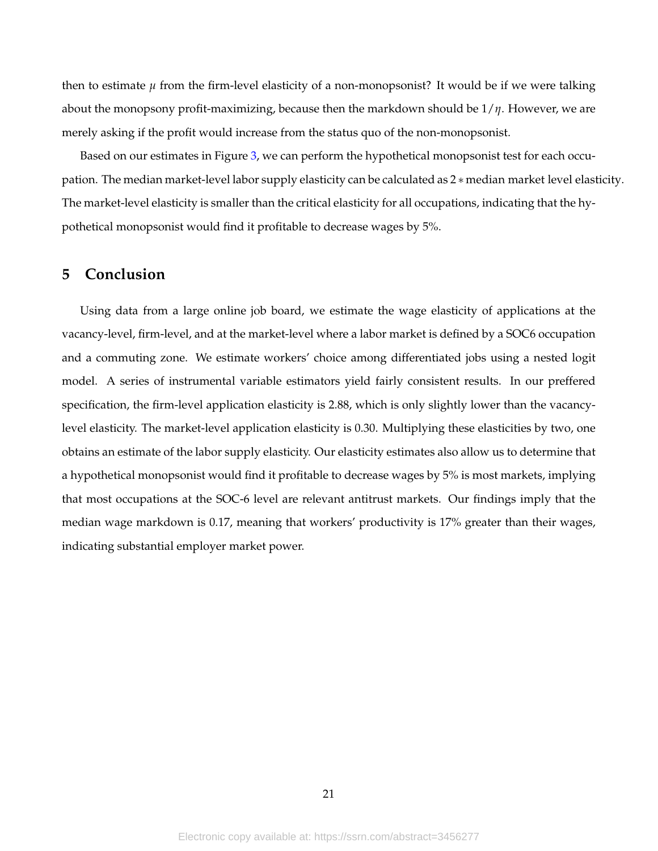then to estimate  $\mu$  from the firm-level elasticity of a non-monopsonist? It would be if we were talking about the monopsony profit-maximizing, because then the markdown should be 1/*η*. However, we are merely asking if the profit would increase from the status quo of the non-monopsonist.

Based on our estimates in Figure 3, we can perform the hypothetical monopsonist test for each occupation. The median market-level labor supply elasticity can be calculated as 2 ∗ median market level elasticity. The market-level elasticity is smaller than the critical elasticity for all occupations, indicating that the hypothetical monopsonist would find it profitable to decrease wages by 5%.

# **5 Conclusion**

Using data from a large online job board, we estimate the wage elasticity of applications at the vacancy-level, firm-level, and at the market-level where a labor market is defined by a SOC6 occupation and a commuting zone. We estimate workers' choice among differentiated jobs using a nested logit model. A series of instrumental variable estimators yield fairly consistent results. In our preffered specification, the firm-level application elasticity is 2.88, which is only slightly lower than the vacancylevel elasticity. The market-level application elasticity is 0.30. Multiplying these elasticities by two, one obtains an estimate of the labor supply elasticity. Our elasticity estimates also allow us to determine that a hypothetical monopsonist would find it profitable to decrease wages by 5% is most markets, implying that most occupations at the SOC-6 level are relevant antitrust markets. Our findings imply that the median wage markdown is 0.17, meaning that workers' productivity is 17% greater than their wages, indicating substantial employer market power.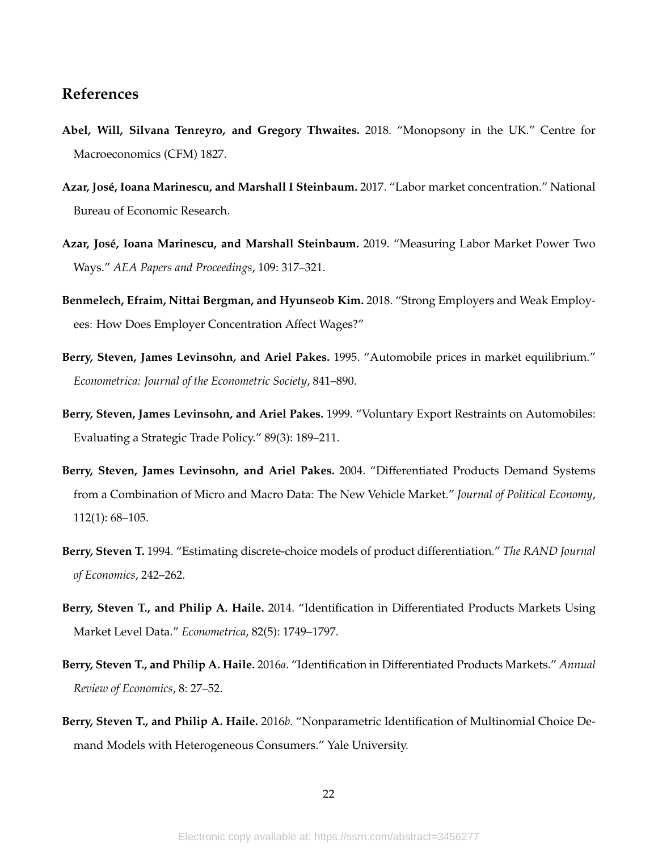## **References**

- **Abel, Will, Silvana Tenreyro, and Gregory Thwaites.** 2018. "Monopsony in the UK." Centre for Macroeconomics (CFM) 1827.
- **Azar, José, Ioana Marinescu, and Marshall I Steinbaum.** 2017. "Labor market concentration." National Bureau of Economic Research.
- **Azar, José, Ioana Marinescu, and Marshall Steinbaum.** 2019. "Measuring Labor Market Power Two Ways." *AEA Papers and Proceedings*, 109: 317–321.
- **Benmelech, Efraim, Nittai Bergman, and Hyunseob Kim.** 2018. "Strong Employers and Weak Employees: How Does Employer Concentration Affect Wages?"
- **Berry, Steven, James Levinsohn, and Ariel Pakes.** 1995. "Automobile prices in market equilibrium." *Econometrica: Journal of the Econometric Society*, 841–890.
- **Berry, Steven, James Levinsohn, and Ariel Pakes.** 1999. "Voluntary Export Restraints on Automobiles: Evaluating a Strategic Trade Policy." 89(3): 189–211.
- **Berry, Steven, James Levinsohn, and Ariel Pakes.** 2004. "Differentiated Products Demand Systems from a Combination of Micro and Macro Data: The New Vehicle Market." *Journal of Political Economy*, 112(1): 68–105.
- **Berry, Steven T.** 1994. "Estimating discrete-choice models of product differentiation." *The RAND Journal of Economics*, 242–262.
- **Berry, Steven T., and Philip A. Haile.** 2014. "Identification in Differentiated Products Markets Using Market Level Data." *Econometrica*, 82(5): 1749–1797.
- **Berry, Steven T., and Philip A. Haile.** 2016*a*. "Identification in Differentiated Products Markets." *Annual Review of Economics*, 8: 27–52.
- **Berry, Steven T., and Philip A. Haile.** 2016*b*. "Nonparametric Identification of Multinomial Choice Demand Models with Heterogeneous Consumers." Yale University.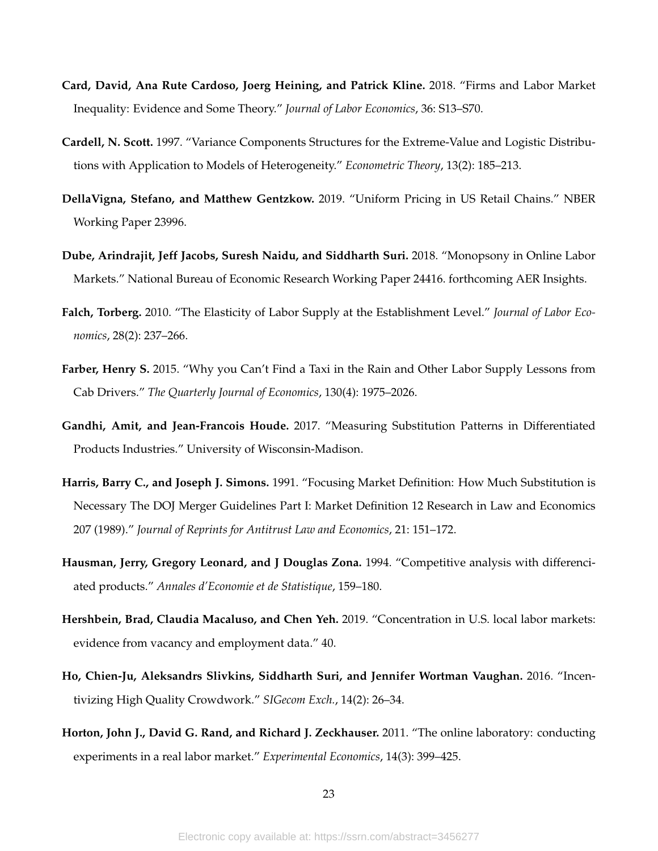- **Card, David, Ana Rute Cardoso, Joerg Heining, and Patrick Kline.** 2018. "Firms and Labor Market Inequality: Evidence and Some Theory." *Journal of Labor Economics*, 36: S13–S70.
- **Cardell, N. Scott.** 1997. "Variance Components Structures for the Extreme-Value and Logistic Distributions with Application to Models of Heterogeneity." *Econometric Theory*, 13(2): 185–213.
- **DellaVigna, Stefano, and Matthew Gentzkow.** 2019. "Uniform Pricing in US Retail Chains." NBER Working Paper 23996.
- **Dube, Arindrajit, Jeff Jacobs, Suresh Naidu, and Siddharth Suri.** 2018. "Monopsony in Online Labor Markets." National Bureau of Economic Research Working Paper 24416. forthcoming AER Insights.
- **Falch, Torberg.** 2010. "The Elasticity of Labor Supply at the Establishment Level." *Journal of Labor Economics*, 28(2): 237–266.
- **Farber, Henry S.** 2015. "Why you Can't Find a Taxi in the Rain and Other Labor Supply Lessons from Cab Drivers." *The Quarterly Journal of Economics*, 130(4): 1975–2026.
- **Gandhi, Amit, and Jean-Francois Houde.** 2017. "Measuring Substitution Patterns in Differentiated Products Industries." University of Wisconsin-Madison.
- **Harris, Barry C., and Joseph J. Simons.** 1991. "Focusing Market Definition: How Much Substitution is Necessary The DOJ Merger Guidelines Part I: Market Definition 12 Research in Law and Economics 207 (1989)." *Journal of Reprints for Antitrust Law and Economics*, 21: 151–172.
- **Hausman, Jerry, Gregory Leonard, and J Douglas Zona.** 1994. "Competitive analysis with differenciated products." *Annales d'Economie et de Statistique*, 159–180.
- **Hershbein, Brad, Claudia Macaluso, and Chen Yeh.** 2019. "Concentration in U.S. local labor markets: evidence from vacancy and employment data." 40.
- **Ho, Chien-Ju, Aleksandrs Slivkins, Siddharth Suri, and Jennifer Wortman Vaughan.** 2016. "Incentivizing High Quality Crowdwork." *SIGecom Exch.*, 14(2): 26–34.
- **Horton, John J., David G. Rand, and Richard J. Zeckhauser.** 2011. "The online laboratory: conducting experiments in a real labor market." *Experimental Economics*, 14(3): 399–425.

23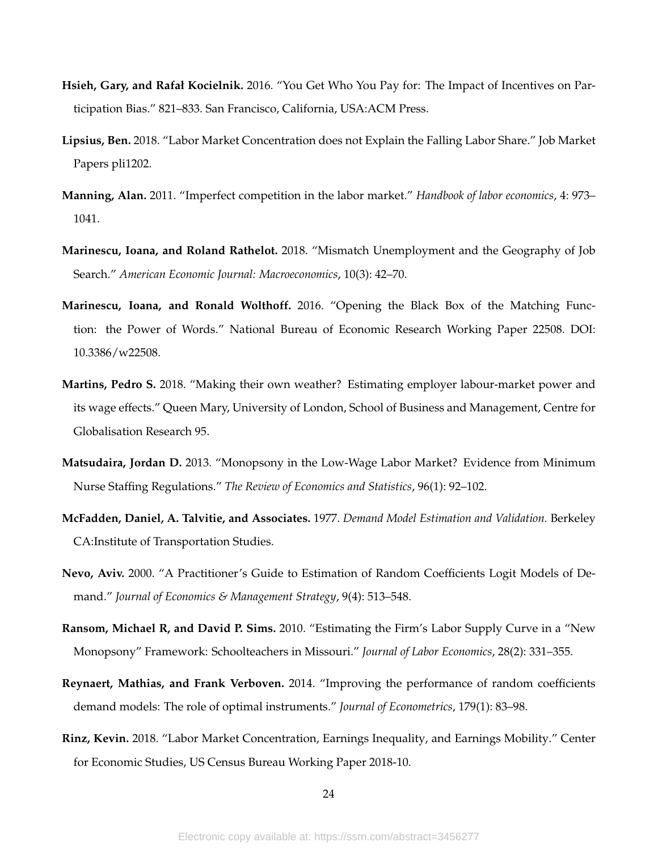- **Hsieh, Gary, and Rafał Kocielnik.** 2016. "You Get Who You Pay for: The Impact of Incentives on Participation Bias." 821–833. San Francisco, California, USA:ACM Press.
- **Lipsius, Ben.** 2018. "Labor Market Concentration does not Explain the Falling Labor Share." Job Market Papers pli1202.
- **Manning, Alan.** 2011. "Imperfect competition in the labor market." *Handbook of labor economics*, 4: 973– 1041.
- **Marinescu, Ioana, and Roland Rathelot.** 2018. "Mismatch Unemployment and the Geography of Job Search." *American Economic Journal: Macroeconomics*, 10(3): 42–70.
- **Marinescu, Ioana, and Ronald Wolthoff.** 2016. "Opening the Black Box of the Matching Function: the Power of Words." National Bureau of Economic Research Working Paper 22508. DOI: 10.3386/w22508.
- **Martins, Pedro S.** 2018. "Making their own weather? Estimating employer labour-market power and its wage effects." Queen Mary, University of London, School of Business and Management, Centre for Globalisation Research 95.
- **Matsudaira, Jordan D.** 2013. "Monopsony in the Low-Wage Labor Market? Evidence from Minimum Nurse Staffing Regulations." *The Review of Economics and Statistics*, 96(1): 92–102.
- **McFadden, Daniel, A. Talvitie, and Associates.** 1977. *Demand Model Estimation and Validation.* Berkeley CA:Institute of Transportation Studies.
- **Nevo, Aviv.** 2000. "A Practitioner's Guide to Estimation of Random Coefficients Logit Models of Demand." *Journal of Economics & Management Strategy*, 9(4): 513–548.
- **Ransom, Michael R, and David P. Sims.** 2010. "Estimating the Firm's Labor Supply Curve in a "New Monopsony" Framework: Schoolteachers in Missouri." *Journal of Labor Economics*, 28(2): 331–355.
- **Reynaert, Mathias, and Frank Verboven.** 2014. "Improving the performance of random coefficients demand models: The role of optimal instruments." *Journal of Econometrics*, 179(1): 83–98.
- **Rinz, Kevin.** 2018. "Labor Market Concentration, Earnings Inequality, and Earnings Mobility." Center for Economic Studies, US Census Bureau Working Paper 2018-10.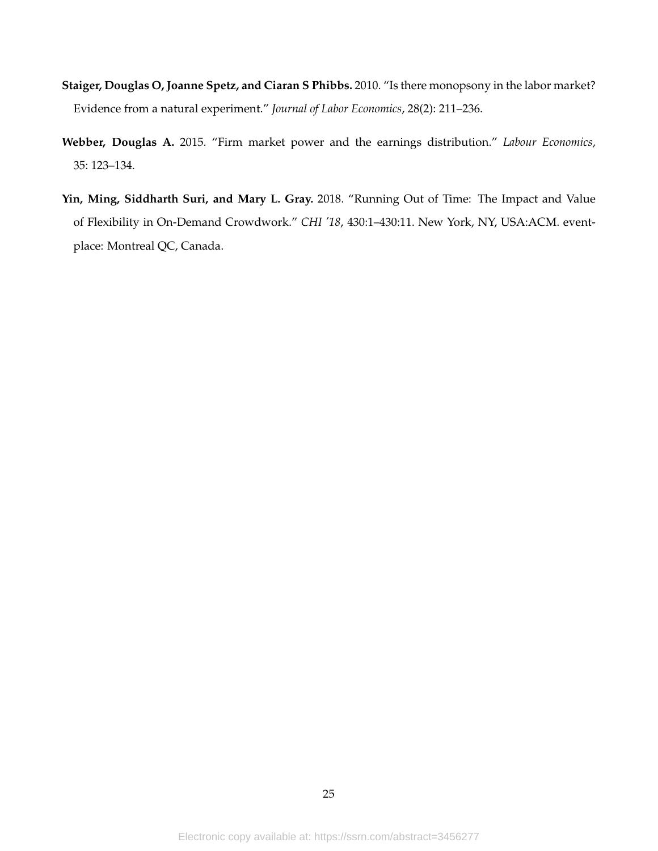- **Staiger, Douglas O, Joanne Spetz, and Ciaran S Phibbs.** 2010. "Is there monopsony in the labor market? Evidence from a natural experiment." *Journal of Labor Economics*, 28(2): 211–236.
- **Webber, Douglas A.** 2015. "Firm market power and the earnings distribution." *Labour Economics*, 35: 123–134.
- **Yin, Ming, Siddharth Suri, and Mary L. Gray.** 2018. "Running Out of Time: The Impact and Value of Flexibility in On-Demand Crowdwork." *CHI '18*, 430:1–430:11. New York, NY, USA:ACM. eventplace: Montreal QC, Canada.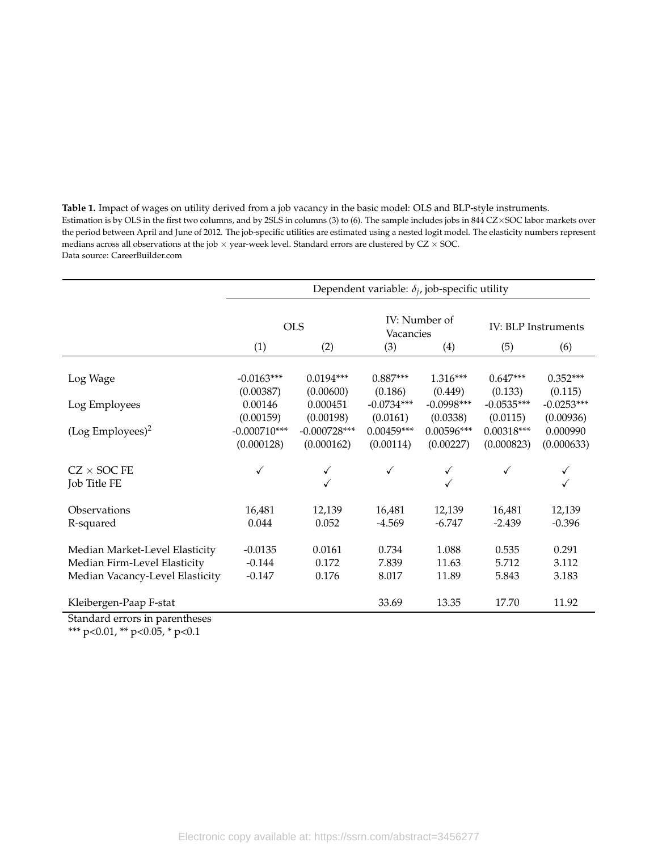| Table 1. Impact of wages on utility derived from a job vacancy in the basic model: OLS and BLP-style instruments.                                |
|--------------------------------------------------------------------------------------------------------------------------------------------------|
| Estimation is by OLS in the first two columns, and by 2SLS in columns (3) to (6). The sample includes jobs in 844 CZ×SOC labor markets over      |
| the period between April and June of 2012. The job-specific utilities are estimated using a nested logit model. The elasticity numbers represent |
| medians across all observations at the job $\times$ year-week level. Standard errors are clustered by CZ $\times$ SOC.                           |
| Data source: CareerBuilder.com                                                                                                                   |

|                                                          | Dependent variable: $\delta_i$ , job-specific utility |                          |                       |                       |                                          |                       |  |  |
|----------------------------------------------------------|-------------------------------------------------------|--------------------------|-----------------------|-----------------------|------------------------------------------|-----------------------|--|--|
|                                                          | (1)                                                   | <b>OLS</b><br>(2)        | Vacancies<br>(3)      | IV: Number of<br>(4)  | <b>IV: BLP Instruments</b><br>(5)<br>(6) |                       |  |  |
|                                                          |                                                       |                          |                       |                       |                                          |                       |  |  |
| Log Wage                                                 | $-0.0163***$<br>(0.00387)                             | $0.0194***$<br>(0.00600) | $0.887***$<br>(0.186) | $1.316***$<br>(0.449) | $0.647***$<br>(0.133)                    | $0.352***$<br>(0.115) |  |  |
| Log Employees                                            | 0.00146                                               | 0.000451                 | $-0.0734***$          | $-0.0998***$          | $-0.0535***$                             | $-0.0253***$          |  |  |
|                                                          | (0.00159)                                             | (0.00198)                | (0.0161)              | (0.0338)              | (0.0115)                                 | (0.00936)             |  |  |
| $(Log Emplorees)^2$                                      | $-0.000710***$                                        | $-0.000728***$           | $0.00459***$          | $0.00596***$          | $0.00318***$                             | 0.000990              |  |  |
|                                                          | (0.000128)                                            | (0.000162)               | (0.00114)             | (0.00227)             | (0.000823)                               | (0.000633)            |  |  |
| $CZ \times SOC$ FE<br>Job Title FE                       | ✓                                                     |                          |                       |                       | ✓                                        |                       |  |  |
| Observations                                             | 16,481                                                | 12,139                   | 16,481                | 12,139                | 16,481                                   | 12,139                |  |  |
| R-squared                                                | 0.044                                                 | 0.052                    | $-4.569$              | $-6.747$              | $-2.439$                                 | $-0.396$              |  |  |
| Median Market-Level Elasticity                           | $-0.0135$                                             | 0.0161                   | 0.734                 | 1.088                 | 0.535                                    | 0.291                 |  |  |
| Median Firm-Level Elasticity                             | $-0.144$                                              | 0.172                    | 7.839                 | 11.63                 | 5.712                                    | 3.112                 |  |  |
| Median Vacancy-Level Elasticity                          | $-0.147$                                              | 0.176                    | 8.017                 | 11.89                 | 5.843                                    | 3.183                 |  |  |
| Kleibergen-Paap F-stat<br>Standard errors in parentheses |                                                       |                          | 33.69                 | 13.35                 | 17.70                                    | 11.92                 |  |  |

Standard errors in parentheses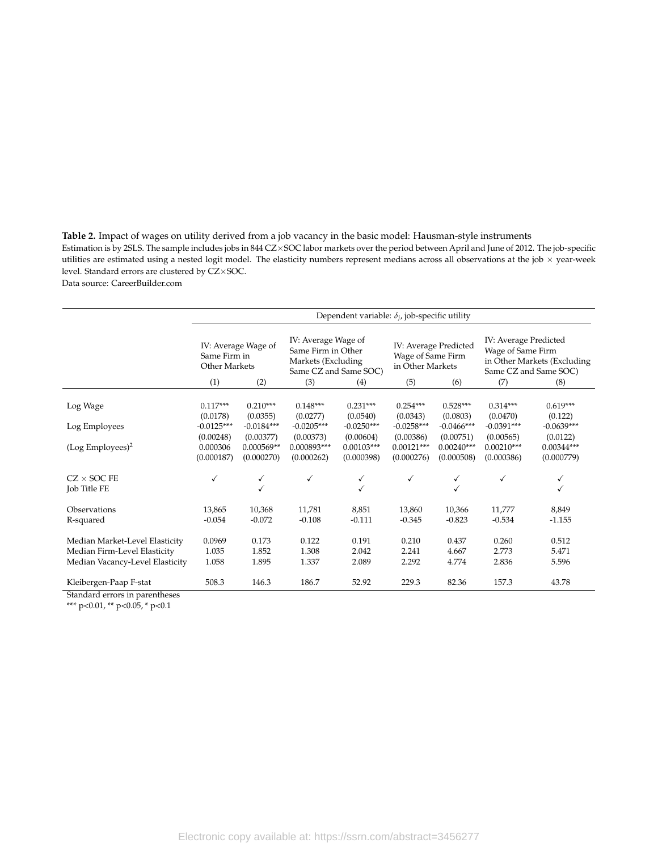**Table 2.** Impact of wages on utility derived from a job vacancy in the basic model: Hausman-style instruments Estimation is by 2SLS. The sample includes jobs in 844 CZ×SOC labor markets over the period between April and June of 2012. The job-specific utilities are estimated using a nested logit model. The elasticity numbers represent medians across all observations at the job  $\times$  year-week level. Standard errors are clustered by CZ×SOC.

Data source: CareerBuilder.com

|                                 | Dependent variable: $\delta_i$ , job-specific utility              |                        |                                                                                                        |                        |                                                                              |                        |                                                                                                                  |                       |
|---------------------------------|--------------------------------------------------------------------|------------------------|--------------------------------------------------------------------------------------------------------|------------------------|------------------------------------------------------------------------------|------------------------|------------------------------------------------------------------------------------------------------------------|-----------------------|
|                                 | IV: Average Wage of<br>Same Firm in<br>Other Markets<br>(1)<br>(2) |                        | IV: Average Wage of<br>Same Firm in Other<br>Markets (Excluding<br>Same CZ and Same SOC)<br>(3)<br>(4) |                        | IV: Average Predicted<br>Wage of Same Firm<br>in Other Markets<br>(5)<br>(6) |                        | IV: Average Predicted<br>Wage of Same Firm<br>in Other Markets (Excluding<br>Same CZ and Same SOC)<br>(7)<br>(8) |                       |
|                                 |                                                                    |                        |                                                                                                        |                        |                                                                              |                        |                                                                                                                  |                       |
| Log Wage                        | $0.117***$<br>(0.0178)                                             | $0.210***$<br>(0.0355) | $0.148***$<br>(0.0277)                                                                                 | $0.231***$<br>(0.0540) | $0.254***$<br>(0.0343)                                                       | $0.528***$<br>(0.0803) | $0.314***$<br>(0.0470)                                                                                           | $0.619***$<br>(0.122) |
| Log Employees                   | $-0.0125***$                                                       | $-0.0184***$           | $-0.0205***$                                                                                           | $-0.0250***$           | $-0.0258***$                                                                 | $-0.0466***$           | $-0.0391***$                                                                                                     | $-0.0639***$          |
|                                 | (0.00248)                                                          | (0.00377)              | (0.00373)                                                                                              | (0.00604)              | (0.00386)                                                                    | (0.00751)              | (0.00565)                                                                                                        | (0.0122)              |
| (Log Employes) <sup>2</sup>     | 0.000306                                                           | $0.000569**$           | 0.000893***                                                                                            | $0.00103***$           | $0.00121***$                                                                 | $0.00240***$           | $0.00210***$                                                                                                     | $0.00344***$          |
|                                 | (0.000187)                                                         | (0.000270)             | (0.000262)                                                                                             | (0.000398)             | (0.000276)                                                                   | (0.000508)             | (0.000386)                                                                                                       | (0.000779)            |
| $CZ \times$ SOC FE              | ✓                                                                  | ✓                      | $\checkmark$                                                                                           | √                      | ✓                                                                            | ✓                      | $\checkmark$                                                                                                     |                       |
| Job Title FE                    |                                                                    |                        |                                                                                                        |                        |                                                                              |                        |                                                                                                                  |                       |
| Observations                    | 13,865                                                             | 10,368                 | 11,781                                                                                                 | 8,851                  | 13,860                                                                       | 10,366                 | 11,777                                                                                                           | 8,849                 |
| R-squared                       | $-0.054$                                                           | $-0.072$               | $-0.108$                                                                                               | $-0.111$               | $-0.345$                                                                     | $-0.823$               | $-0.534$                                                                                                         | $-1.155$              |
|                                 |                                                                    |                        |                                                                                                        |                        |                                                                              |                        |                                                                                                                  |                       |
| Median Market-Level Elasticity  | 0.0969                                                             | 0.173                  | 0.122                                                                                                  | 0.191                  | 0.210                                                                        | 0.437                  | 0.260                                                                                                            | 0.512                 |
| Median Firm-Level Elasticity    | 1.035                                                              | 1.852                  | 1.308                                                                                                  | 2.042                  | 2.241                                                                        | 4.667                  | 2.773                                                                                                            | 5.471                 |
| Median Vacancy-Level Elasticity | 1.058                                                              | 1.895                  | 1.337                                                                                                  | 2.089                  | 2.292                                                                        | 4.774                  | 2.836                                                                                                            | 5.596                 |
| Kleibergen-Paap F-stat          | 508.3                                                              | 146.3                  | 186.7                                                                                                  | 52.92                  | 229.3                                                                        | 82.36                  | 157.3                                                                                                            | 43.78                 |
| Standard errors in parentheses  |                                                                    |                        |                                                                                                        |                        |                                                                              |                        |                                                                                                                  |                       |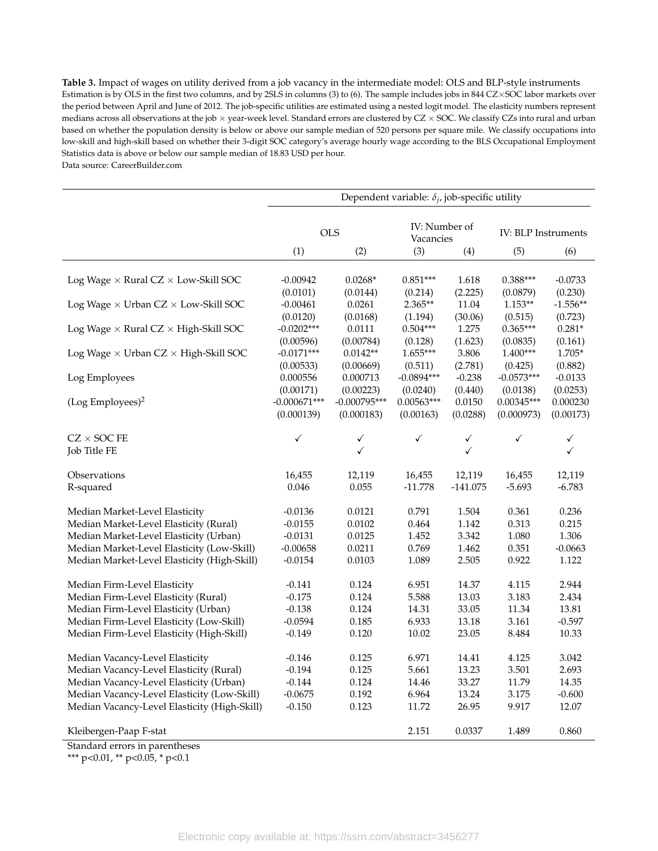**Table 3.** Impact of wages on utility derived from a job vacancy in the intermediate model: OLS and BLP-style instruments Estimation is by OLS in the first two columns, and by 2SLS in columns (3) to (6). The sample includes jobs in 844 CZ×SOC labor markets over the period between April and June of 2012. The job-specific utilities are estimated using a nested logit model. The elasticity numbers represent medians across all observations at the job  $\times$  year-week level. Standard errors are clustered by CZ  $\times$  SOC. We classify CZs into rural and urban based on whether the population density is below or above our sample median of 520 persons per square mile. We classify occupations into low-skill and high-skill based on whether their 3-digit SOC category's average hourly wage according to the BLS Occupational Employment Statistics data is above or below our sample median of 18.83 USD per hour.

Data source: CareerBuilder.com

|                                                    | Dependent variable: $\delta_i$ , job-specific utility |                   |                            |                   |                            |                   |  |
|----------------------------------------------------|-------------------------------------------------------|-------------------|----------------------------|-------------------|----------------------------|-------------------|--|
|                                                    | <b>OLS</b>                                            |                   | IV: Number of<br>Vacancies |                   | <b>IV: BLP Instruments</b> |                   |  |
|                                                    | (1)                                                   | (2)               | (3)                        | (4)               | (5)                        | (6)               |  |
| Log Wage $\times$ Rural CZ $\times$ Low-Skill SOC  | $-0.00942$                                            | $0.0268*$         | $0.851***$                 | 1.618             | $0.388***$                 | $-0.0733$         |  |
|                                                    | (0.0101)                                              | (0.0144)          | (0.214)                    | (2.225)           | (0.0879)                   | (0.230)           |  |
| Log Wage $\times$ Urban CZ $\times$ Low-Skill SOC  | $-0.00461$                                            | 0.0261            | 2.365**                    | 11.04             | $1.153**$                  | $-1.556**$        |  |
|                                                    | (0.0120)                                              | (0.0168)          | (1.194)                    | (30.06)           | (0.515)                    | (0.723)           |  |
| Log Wage $\times$ Rural CZ $\times$ High-Skill SOC | $-0.0202***$                                          | 0.0111            | $0.504***$                 | 1.275             | $0.365***$                 | $0.281*$          |  |
|                                                    | (0.00596)                                             | (0.00784)         | (0.128)                    | (1.623)           | (0.0835)                   | (0.161)           |  |
| Log Wage $\times$ Urban CZ $\times$ High-Skill SOC | $-0.0171***$                                          | $0.0142**$        | $1.655***$                 | 3.806             | $1.400***$                 | $1.705*$          |  |
|                                                    | (0.00533)                                             | (0.00669)         | (0.511)                    | (2.781)           | (0.425)                    | (0.882)           |  |
| Log Employees                                      | 0.000556                                              | 0.000713          | $-0.0894***$               | $-0.238$          | $-0.0573***$               | $-0.0133$         |  |
|                                                    | (0.00171)                                             | (0.00223)         | (0.0240)                   | (0.440)           | (0.0138)                   | (0.0253)          |  |
| $($ Log Employees $)^2$                            | $-0.000671***$                                        | $-0.000795***$    | $0.00563***$               | 0.0150            | $0.00345***$               | 0.000230          |  |
|                                                    | (0.000139)                                            | (0.000183)        | (0.00163)                  | (0.0288)          | (0.000973)                 | (0.00173)         |  |
| $CZ \times$ SOC FE<br>Job Title FE                 | $\checkmark$                                          | ✓<br>$\checkmark$ | $\checkmark$               | $\checkmark$<br>✓ | ✓                          | ✓<br>$\checkmark$ |  |
| Observations                                       | 16,455                                                | 12,119            | 16,455                     | 12,119            | 16,455                     | 12,119            |  |
| R-squared                                          | 0.046                                                 | 0.055             | $-11.778$                  | $-141.075$        | $-5.693$                   | $-6.783$          |  |
| Median Market-Level Elasticity                     | $-0.0136$                                             | 0.0121            | 0.791                      | 1.504             | 0.361                      | 0.236             |  |
| Median Market-Level Elasticity (Rural)             | $-0.0155$                                             | 0.0102            | 0.464                      | 1.142             | 0.313                      | 0.215             |  |
| Median Market-Level Elasticity (Urban)             | $-0.0131$                                             | 0.0125            | 1.452                      | 3.342             | 1.080                      | 1.306             |  |
| Median Market-Level Elasticity (Low-Skill)         | $-0.00658$                                            | 0.0211            | 0.769                      | 1.462             | 0.351                      | $-0.0663$         |  |
| Median Market-Level Elasticity (High-Skill)        | $-0.0154$                                             | 0.0103            | 1.089                      | 2.505             | 0.922                      | 1.122             |  |
| Median Firm-Level Elasticity                       | $-0.141$                                              | 0.124             | 6.951                      | 14.37             | 4.115                      | 2.944             |  |
| Median Firm-Level Elasticity (Rural)               | $-0.175$                                              | 0.124             | 5.588                      | 13.03             | 3.183                      | 2.434             |  |
| Median Firm-Level Elasticity (Urban)               | $-0.138$                                              | 0.124             | 14.31                      | 33.05             | 11.34                      | 13.81             |  |
| Median Firm-Level Elasticity (Low-Skill)           | $-0.0594$                                             | 0.185             | 6.933                      | 13.18             | 3.161                      | $-0.597$          |  |
| Median Firm-Level Elasticity (High-Skill)          | $-0.149$                                              | 0.120             | 10.02                      | 23.05             | 8.484                      | 10.33             |  |
| Median Vacancy-Level Elasticity                    | $-0.146$                                              | 0.125             | 6.971                      | 14.41             | 4.125                      | 3.042             |  |
| Median Vacancy-Level Elasticity (Rural)            | $-0.194$                                              | 0.125             | 5.661                      | 13.23             | 3.501                      | 2.693             |  |
| Median Vacancy-Level Elasticity (Urban)            | $-0.144$                                              | 0.124             | 14.46                      | 33.27             | 11.79                      | 14.35             |  |
| Median Vacancy-Level Elasticity (Low-Skill)        | $-0.0675$                                             | 0.192             | 6.964                      | 13.24             | 3.175                      | $-0.600$          |  |
| Median Vacancy-Level Elasticity (High-Skill)       | $-0.150$                                              | 0.123             | 11.72                      | 26.95             | 9.917                      | 12.07             |  |
| Kleibergen-Paap F-stat                             |                                                       |                   | 2.151                      | 0.0337            | 1.489                      | 0.860             |  |

Standard errors in parentheses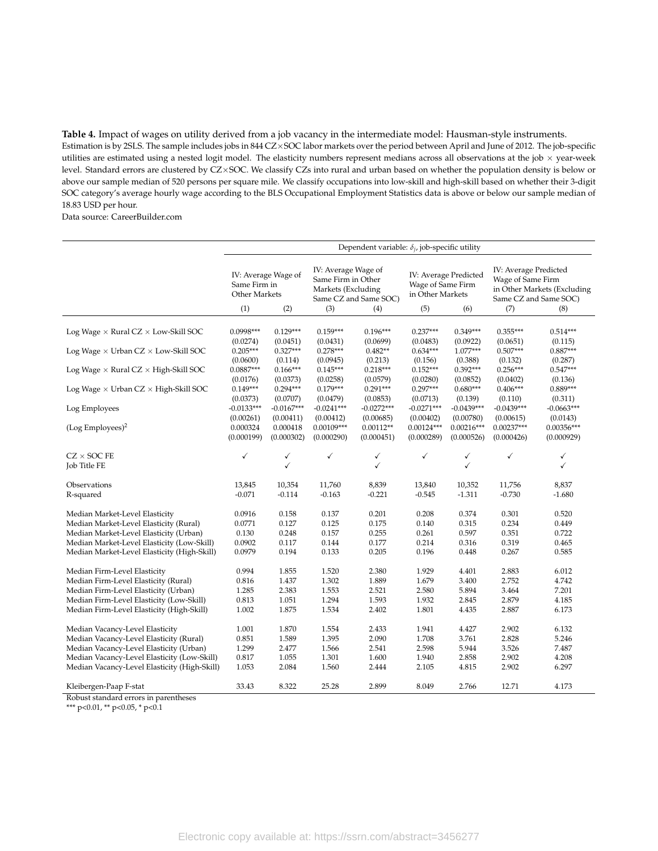**Table 4.** Impact of wages on utility derived from a job vacancy in the intermediate model: Hausman-style instruments. Estimation is by 2SLS. The sample includes jobs in 844 CZ×SOC labor markets over the period between April and June of 2012. The job-specific utilities are estimated using a nested logit model. The elasticity numbers represent medians across all observations at the job  $\times$  year-week level. Standard errors are clustered by CZ×SOC. We classify CZs into rural and urban based on whether the population density is below or above our sample median of 520 persons per square mile. We classify occupations into low-skill and high-skill based on whether their 3-digit SOC category's average hourly wage according to the BLS Occupational Employment Statistics data is above or below our sample median of 18.83 USD per hour.

Data source: CareerBuilder.com

|                                                    | Dependent variable: $\delta_i$ , job-specific utility |              |                                                                                          |              |                                                                |                   |                                                                                                    |              |
|----------------------------------------------------|-------------------------------------------------------|--------------|------------------------------------------------------------------------------------------|--------------|----------------------------------------------------------------|-------------------|----------------------------------------------------------------------------------------------------|--------------|
|                                                    | IV: Average Wage of<br>Same Firm in<br>Other Markets  |              | IV: Average Wage of<br>Same Firm in Other<br>Markets (Excluding<br>Same CZ and Same SOC) |              | IV: Average Predicted<br>Wage of Same Firm<br>in Other Markets |                   | IV: Average Predicted<br>Wage of Same Firm<br>in Other Markets (Excluding<br>Same CZ and Same SOC) |              |
|                                                    | (1)                                                   | (2)          | (3)                                                                                      | (4)          | (5)                                                            | (6)               | (7)                                                                                                | (8)          |
| Log Wage $\times$ Rural CZ $\times$ Low-Skill SOC  | $0.0998***$                                           | $0.129***$   | $0.159***$                                                                               | $0.196***$   | $0.237***$                                                     | $0.349***$        | $0.355***$                                                                                         | $0.514***$   |
|                                                    | (0.0274)                                              | (0.0451)     | (0.0431)                                                                                 | (0.0699)     | (0.0483)                                                       | (0.0922)          | (0.0651)                                                                                           | (0.115)      |
| Log Wage $\times$ Urban CZ $\times$ Low-Skill SOC  | $0.205***$                                            | $0.327***$   | $0.278***$                                                                               | $0.482**$    | $0.634***$                                                     | $1.077***$        | $0.507***$                                                                                         | $0.887***$   |
|                                                    | (0.0600)                                              | (0.114)      | (0.0945)                                                                                 | (0.213)      | (0.156)                                                        | (0.388)           | (0.132)                                                                                            | (0.287)      |
| Log Wage $\times$ Rural CZ $\times$ High-Skill SOC | $0.0887***$                                           | $0.166***$   | $0.145***$                                                                               | $0.218***$   | $0.152***$                                                     | $0.392***$        | $0.256***$                                                                                         | $0.547***$   |
|                                                    | (0.0176)                                              | (0.0373)     | (0.0258)                                                                                 | (0.0579)     | (0.0280)                                                       | (0.0852)          | (0.0402)                                                                                           | (0.136)      |
| Log Wage $\times$ Urban CZ $\times$ High-Skill SOC | $0.149***$                                            | $0.294***$   | $0.179***$                                                                               | $0.291***$   | $0.297***$                                                     | $0.680***$        | $0.406***$                                                                                         | $0.889***$   |
|                                                    | (0.0373)                                              | (0.0707)     | (0.0479)                                                                                 | (0.0853)     | (0.0713)                                                       | (0.139)           | (0.110)                                                                                            | (0.311)      |
| Log Employees                                      | $-0.0133***$                                          | $-0.0167***$ | $-0.0241***$                                                                             | $-0.0272***$ | $-0.0271***$                                                   | $-0.0439***$      | $-0.0439***$                                                                                       | $-0.0663***$ |
|                                                    | (0.00261)                                             | (0.00411)    | (0.00412)                                                                                | (0.00685)    | (0.00402)                                                      | (0.00780)         | (0.00615)                                                                                          | (0.0143)     |
| (Log Emplorees) <sup>2</sup>                       | 0.000324                                              | 0.000418     | $0.00109***$                                                                             | $0.00112**$  | $0.00124***$                                                   | $0.00216***$      | $0.00237***$                                                                                       | $0.00356***$ |
|                                                    | (0.000199)                                            | (0.000302)   | (0.000290)                                                                               | (0.000451)   | (0.000289)                                                     | (0.000526)        | (0.000426)                                                                                         | (0.000929)   |
| $CZ \times SOC$ FE<br>Job Title FE                 | ✓                                                     | ✓<br>✓       | $\checkmark$                                                                             | ✓<br>✓       | ✓                                                              | ✓<br>$\checkmark$ | $\checkmark$                                                                                       | ✓<br>✓       |
| Observations                                       | 13,845                                                | 10,354       | 11,760                                                                                   | 8,839        | 13,840                                                         | 10,352            | 11,756                                                                                             | 8,837        |
| R-squared                                          | $-0.071$                                              | $-0.114$     | $-0.163$                                                                                 | $-0.221$     | $-0.545$                                                       | $-1.311$          | $-0.730$                                                                                           | $-1.680$     |
| Median Market-Level Elasticity                     | 0.0916                                                | 0.158        | 0.137                                                                                    | 0.201        | 0.208                                                          | 0.374             | 0.301                                                                                              | 0.520        |
| Median Market-Level Elasticity (Rural)             | 0.0771                                                | 0.127        | 0.125                                                                                    | 0.175        | 0.140                                                          | 0.315             | 0.234                                                                                              | 0.449        |
| Median Market-Level Elasticity (Urban)             | 0.130                                                 | 0.248        | 0.157                                                                                    | 0.255        | 0.261                                                          | 0.597             | 0.351                                                                                              | 0.722        |
| Median Market-Level Elasticity (Low-Skill)         | 0.0902                                                | 0.117        | 0.144                                                                                    | 0.177        | 0.214                                                          | 0.316             | 0.319                                                                                              | 0.465        |
| Median Market-Level Elasticity (High-Skill)        | 0.0979                                                | 0.194        | 0.133                                                                                    | 0.205        | 0.196                                                          | 0.448             | 0.267                                                                                              | 0.585        |
| Median Firm-Level Elasticity                       | 0.994                                                 | 1.855        | 1.520                                                                                    | 2.380        | 1.929                                                          | 4.401             | 2.883                                                                                              | 6.012        |
| Median Firm-Level Elasticity (Rural)               | 0.816                                                 | 1.437        | 1.302                                                                                    | 1.889        | 1.679                                                          | 3.400             | 2.752                                                                                              | 4.742        |
| Median Firm-Level Elasticity (Urban)               | 1.285                                                 | 2.383        | 1.553                                                                                    | 2.521        | 2.580                                                          | 5.894             | 3.464                                                                                              | 7.201        |
| Median Firm-Level Elasticity (Low-Skill)           | 0.813                                                 | 1.051        | 1.294                                                                                    | 1.593        | 1.932                                                          | 2.845             | 2.879                                                                                              | 4.185        |
| Median Firm-Level Elasticity (High-Skill)          | 1.002                                                 | 1.875        | 1.534                                                                                    | 2.402        | 1.801                                                          | 4.435             | 2.887                                                                                              | 6.173        |
| Median Vacancy-Level Elasticity                    | 1.001                                                 | 1.870        | 1.554                                                                                    | 2.433        | 1.941                                                          | 4.427             | 2.902                                                                                              | 6.132        |
| Median Vacancy-Level Elasticity (Rural)            | 0.851                                                 | 1.589        | 1.395                                                                                    | 2.090        | 1.708                                                          | 3.761             | 2.828                                                                                              | 5.246        |
| Median Vacancy-Level Elasticity (Urban)            | 1.299                                                 | 2.477        | 1.566                                                                                    | 2.541        | 2.598                                                          | 5.944             | 3.526                                                                                              | 7.487        |
| Median Vacancy-Level Elasticity (Low-Skill)        | 0.817                                                 | 1.055        | 1.301                                                                                    | 1.600        | 1.940                                                          | 2.858             | 2.902                                                                                              | 4.208        |
| Median Vacancy-Level Elasticity (High-Skill)       | 1.053                                                 | 2.084        | 1.560                                                                                    | 2.444        | 2.105                                                          | 4.815             | 2.902                                                                                              | 6.297        |
| Kleibergen-Paap F-stat                             | 33.43                                                 | 8.322        | 25.28                                                                                    | 2.899        | 8.049                                                          | 2.766             | 12.71                                                                                              | 4.173        |

Robust standard errors in parentheses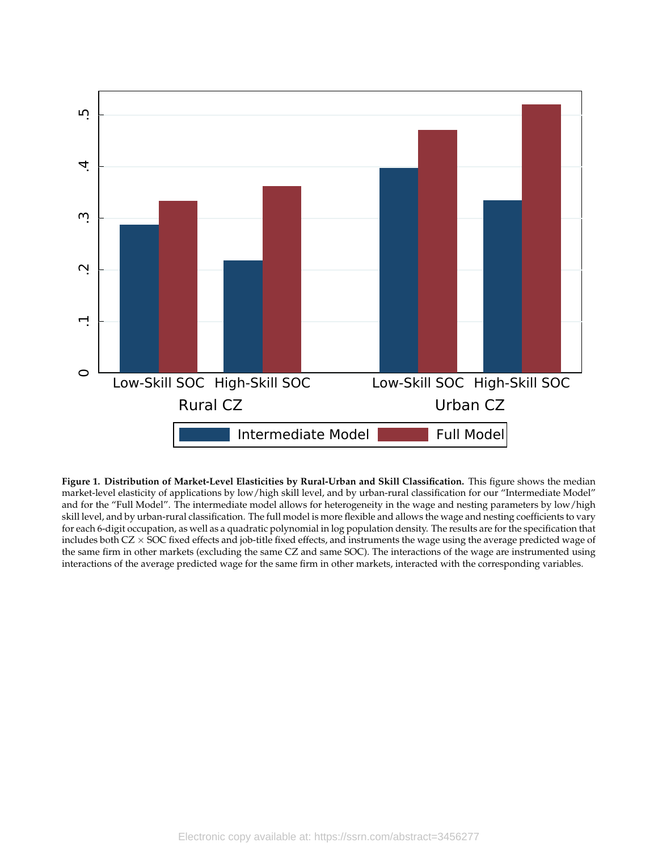

**Figure 1. Distribution of Market-Level Elasticities by Rural-Urban and Skill Classification.** This figure shows the median market-level elasticity of applications by low/high skill level, and by urban-rural classification for our "Intermediate Model" and for the "Full Model". The intermediate model allows for heterogeneity in the wage and nesting parameters by low/high skill level, and by urban-rural classification. The full model is more flexible and allows the wage and nesting coefficients to vary for each 6-digit occupation, as well as a quadratic polynomial in log population density. The results are for the specification that includes both CZ × SOC fixed effects and job-title fixed effects, and instruments the wage using the average predicted wage of the same firm in other markets (excluding the same CZ and same SOC). The interactions of the wage are instrumented using interactions of the average predicted wage for the same firm in other markets, interacted with the corresponding variables.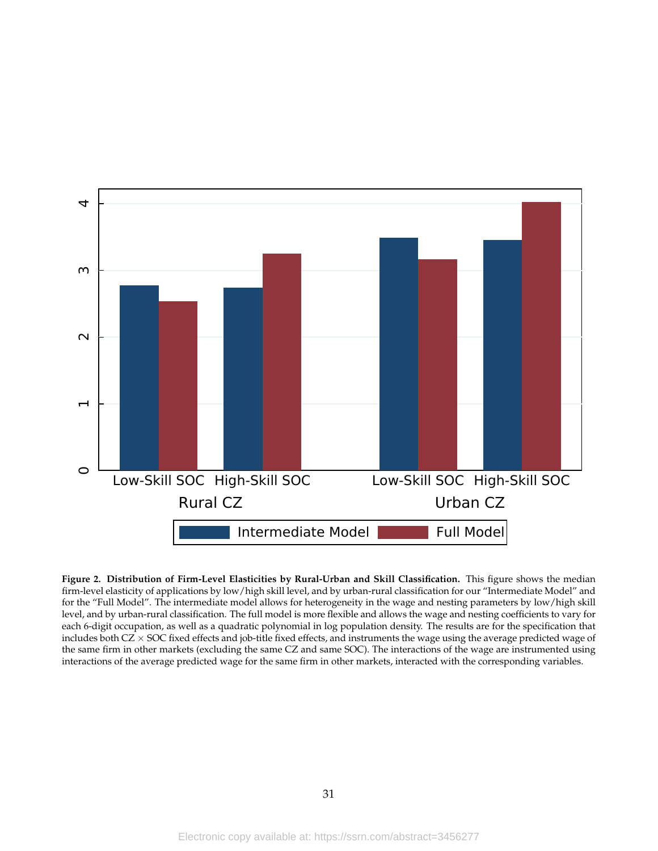

**Figure 2. Distribution of Firm-Level Elasticities by Rural-Urban and Skill Classification.** This figure shows the median firm-level elasticity of applications by low/high skill level, and by urban-rural classification for our "Intermediate Model" and for the "Full Model". The intermediate model allows for heterogeneity in the wage and nesting parameters by low/high skill level, and by urban-rural classification. The full model is more flexible and allows the wage and nesting coefficients to vary for each 6-digit occupation, as well as a quadratic polynomial in log population density. The results are for the specification that includes both CZ × SOC fixed effects and job-title fixed effects, and instruments the wage using the average predicted wage of the same firm in other markets (excluding the same CZ and same SOC). The interactions of the wage are instrumented using interactions of the average predicted wage for the same firm in other markets, interacted with the corresponding variables.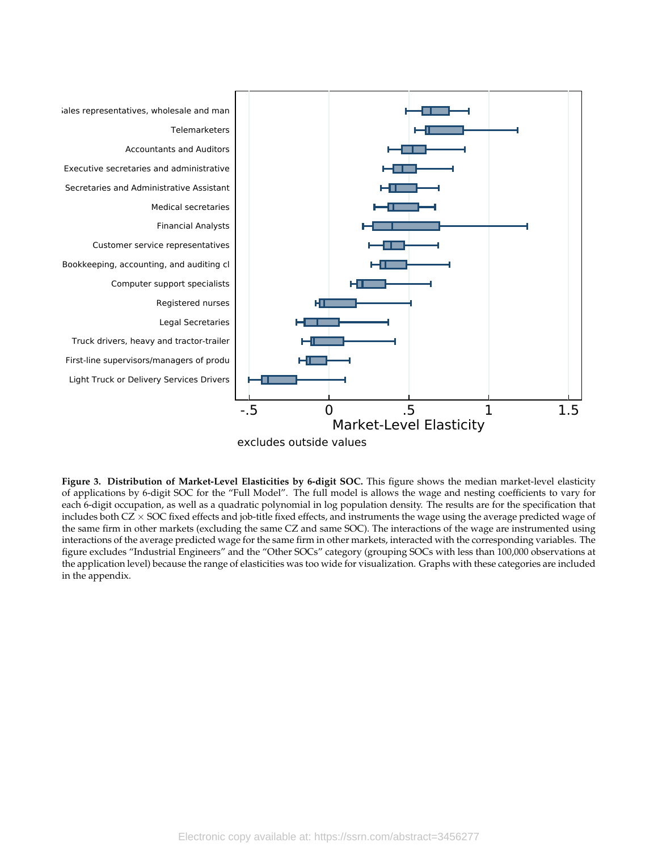

excludes outside values

**Figure 3. Distribution of Market-Level Elasticities by 6-digit SOC.** This figure shows the median market-level elasticity of applications by 6-digit SOC for the "Full Model". The full model is allows the wage and nesting coefficients to vary for each 6-digit occupation, as well as a quadratic polynomial in log population density. The results are for the specification that includes both CZ × SOC fixed effects and job-title fixed effects, and instruments the wage using the average predicted wage of the same firm in other markets (excluding the same CZ and same SOC). The interactions of the wage are instrumented using interactions of the average predicted wage for the same firm in other markets, interacted with the corresponding variables. The figure excludes "Industrial Engineers" and the "Other SOCs" category (grouping SOCs with less than 100,000 observations at the application level) because the range of elasticities was too wide for visualization. Graphs with these categories are included in the appendix.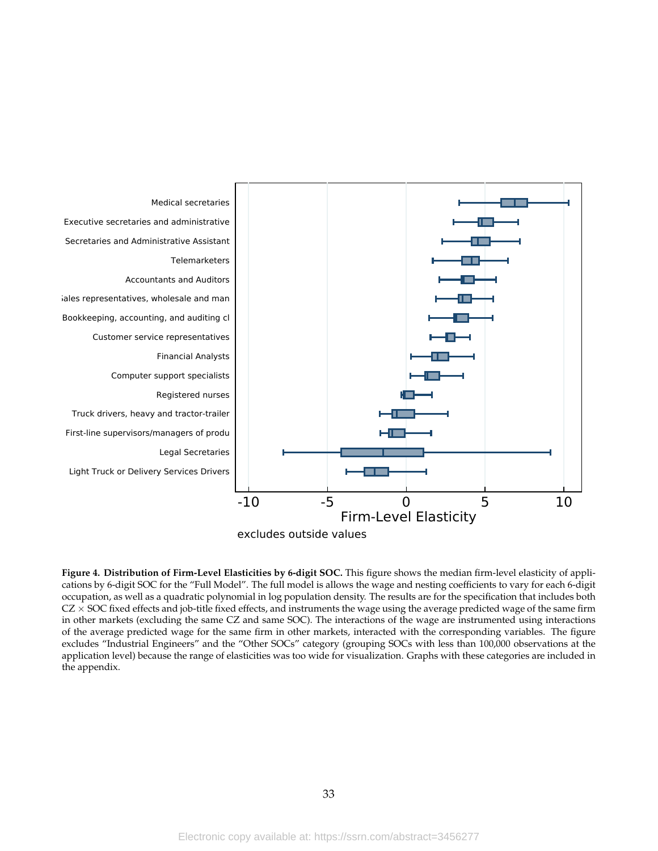

**Figure 4. Distribution of Firm-Level Elasticities by 6-digit SOC.** This figure shows the median firm-level elasticity of applications by 6-digit SOC for the "Full Model". The full model is allows the wage and nesting coefficients to vary for each 6-digit occupation, as well as a quadratic polynomial in log population density. The results are for the specification that includes both  $CZ \times$  SOC fixed effects and job-title fixed effects, and instruments the wage using the average predicted wage of the same firm in other markets (excluding the same CZ and same SOC). The interactions of the wage are instrumented using interactions of the average predicted wage for the same firm in other markets, interacted with the corresponding variables. The figure excludes "Industrial Engineers" and the "Other SOCs" category (grouping SOCs with less than 100,000 observations at the application level) because the range of elasticities was too wide for visualization. Graphs with these categories are included in the appendix.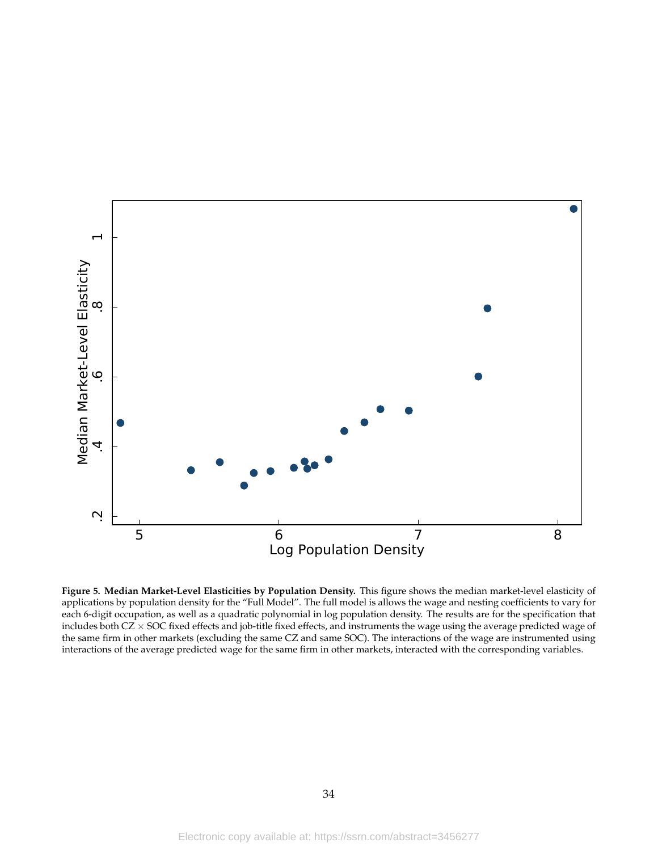

**Figure 5. Median Market-Level Elasticities by Population Density.** This figure shows the median market-level elasticity of applications by population density for the "Full Model". The full model is allows the wage and nesting coefficients to vary for each 6-digit occupation, as well as a quadratic polynomial in log population density. The results are for the specification that includes both CZ × SOC fixed effects and job-title fixed effects, and instruments the wage using the average predicted wage of the same firm in other markets (excluding the same CZ and same SOC). The interactions of the wage are instrumented using interactions of the average predicted wage for the same firm in other markets, interacted with the corresponding variables.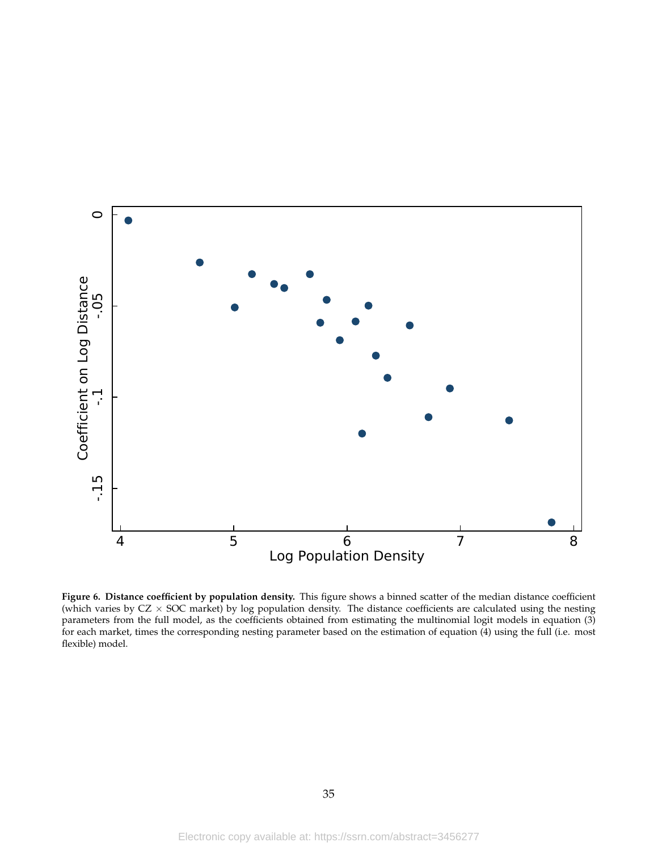

**Figure 6. Distance coefficient by population density.** This figure shows a binned scatter of the median distance coefficient (which varies by  $CZ \times$  SOC market) by log population density. The distance coefficients are calculated using the nesting parameters from the full model, as the coefficients obtained from estimating the multinomial logit models in equation (3) for each market, times the corresponding nesting parameter based on the estimation of equation (4) using the full (i.e. most flexible) model.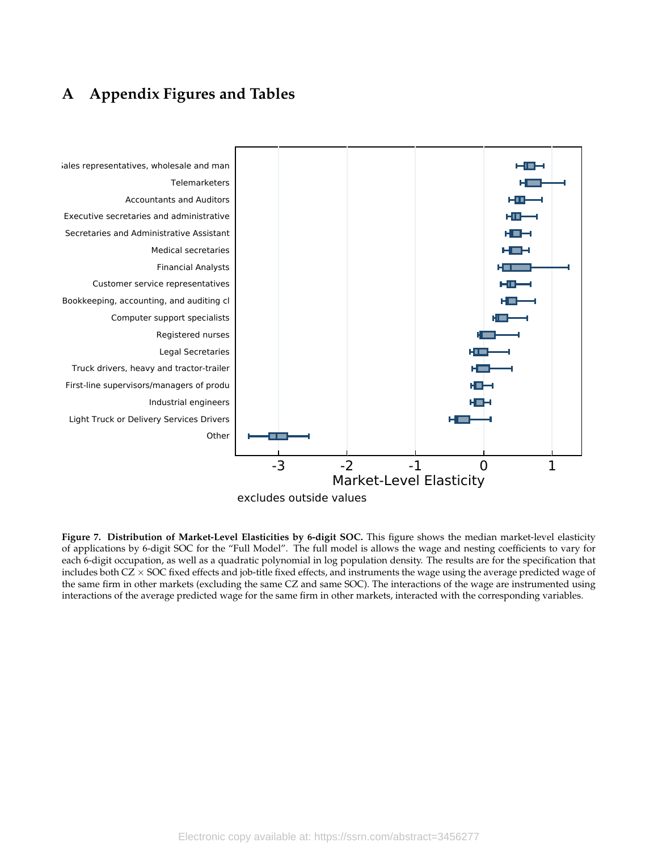# **A Appendix Figures and Tables**



**Figure 7. Distribution of Market-Level Elasticities by 6-digit SOC.** This figure shows the median market-level elasticity of applications by 6-digit SOC for the "Full Model". The full model is allows the wage and nesting coefficients to vary for each 6-digit occupation, as well as a quadratic polynomial in log population density. The results are for the specification that includes both  $CZ \times$  SOC fixed effects and job-title fixed effects, and instruments the wage using the average predicted wage of the same firm in other markets (excluding the same CZ and same SOC). The interactions of the wage are instrumented using interactions of the average predicted wage for the same firm in other markets, interacted with the corresponding variables.